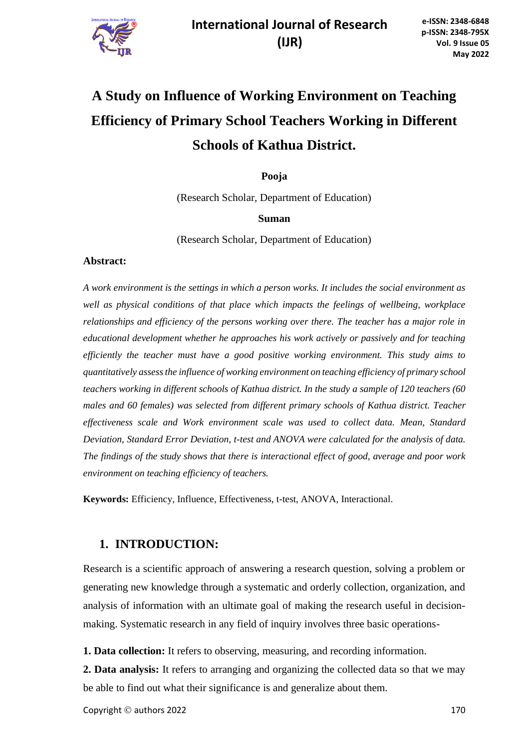

# **A Study on Influence of Working Environment on Teaching Efficiency of Primary School Teachers Working in Different Schools of Kathua District.**

**Pooja**

(Research Scholar, Department of Education)

#### **Suman**

(Research Scholar, Department of Education)

#### **Abstract:**

*A work environment is the settings in which a person works. It includes the social environment as well as physical conditions of that place which impacts the feelings of wellbeing, workplace relationships and efficiency of the persons working over there. The teacher has a major role in educational development whether he approaches his work actively or passively and for teaching efficiently the teacher must have a good positive working environment. This study aims to quantitatively assess the influence of working environment on teaching efficiency of primary school teachers working in different schools of Kathua district. In the study a sample of 120 teachers (60 males and 60 females) was selected from different primary schools of Kathua district. Teacher effectiveness scale and Work environment scale was used to collect data. Mean, Standard Deviation, Standard Error Deviation, t-test and ANOVA were calculated for the analysis of data. The findings of the study shows that there is interactional effect of good, average and poor work environment on teaching efficiency of teachers.*

**Keywords:** Efficiency, Influence, Effectiveness, t-test, ANOVA, Interactional.

### **1. INTRODUCTION:**

Research is a scientific approach of answering a research question, solving a problem or generating new knowledge through a systematic and orderly collection, organization, and analysis of information with an ultimate goal of making the research useful in decisionmaking. Systematic research in any field of inquiry involves three basic operations-

**1. Data collection:** It refers to observing, measuring, and recording information.

**2. Data analysis:** It refers to arranging and organizing the collected data so that we may be able to find out what their significance is and generalize about them.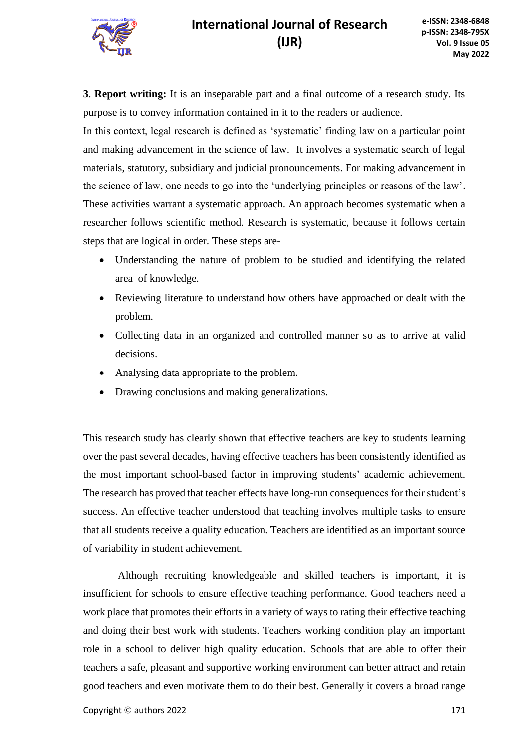**3**. **Report writing:** It is an inseparable part and a final outcome of a research study. Its purpose is to convey information contained in it to the readers or audience.

In this context, legal research is defined as 'systematic' finding law on a particular point and making advancement in the science of law. It involves a systematic search of legal materials, statutory, subsidiary and judicial pronouncements. For making advancement in the science of law, one needs to go into the 'underlying principles or reasons of the law'. These activities warrant a systematic approach. An approach becomes systematic when a researcher follows scientific method. Research is systematic, because it follows certain steps that are logical in order. These steps are-

- Understanding the nature of problem to be studied and identifying the related area of knowledge.
- Reviewing literature to understand how others have approached or dealt with the problem.
- Collecting data in an organized and controlled manner so as to arrive at valid decisions.
- Analysing data appropriate to the problem.
- Drawing conclusions and making generalizations.

This research study has clearly shown that effective teachers are key to students learning over the past several decades, having effective teachers has been consistently identified as the most important school-based factor in improving students' academic achievement. The research has proved that teacher effects have long-run consequences for their student's success. An effective teacher understood that teaching involves multiple tasks to ensure that all students receive a quality education. Teachers are identified as an important source of variability in student achievement.

Although recruiting knowledgeable and skilled teachers is important, it is insufficient for schools to ensure effective teaching performance. Good teachers need a work place that promotes their efforts in a variety of ways to rating their effective teaching and doing their best work with students. Teachers working condition play an important role in a school to deliver high quality education. Schools that are able to offer their teachers a safe, pleasant and supportive working environment can better attract and retain good teachers and even motivate them to do their best. Generally it covers a broad range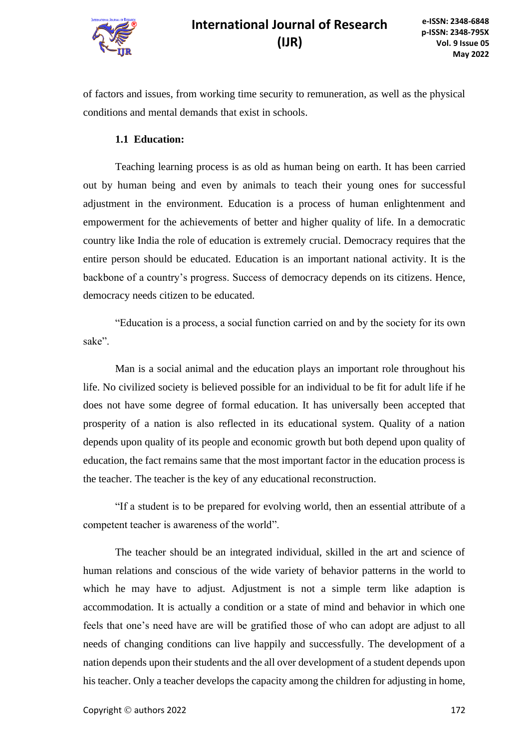

of factors and issues, from working time security to remuneration, as well as the physical conditions and mental demands that exist in schools.

#### **1.1 Education:**

Teaching learning process is as old as human being on earth. It has been carried out by human being and even by animals to teach their young ones for successful adjustment in the environment. Education is a process of human enlightenment and empowerment for the achievements of better and higher quality of life. In a democratic country like India the role of education is extremely crucial. Democracy requires that the entire person should be educated. Education is an important national activity. It is the backbone of a country's progress. Success of democracy depends on its citizens. Hence, democracy needs citizen to be educated.

"Education is a process, a social function carried on and by the society for its own sake".

Man is a social animal and the education plays an important role throughout his life. No civilized society is believed possible for an individual to be fit for adult life if he does not have some degree of formal education. It has universally been accepted that prosperity of a nation is also reflected in its educational system. Quality of a nation depends upon quality of its people and economic growth but both depend upon quality of education, the fact remains same that the most important factor in the education process is the teacher. The teacher is the key of any educational reconstruction.

"If a student is to be prepared for evolving world, then an essential attribute of a competent teacher is awareness of the world".

The teacher should be an integrated individual, skilled in the art and science of human relations and conscious of the wide variety of behavior patterns in the world to which he may have to adjust. Adjustment is not a simple term like adaption is accommodation. It is actually a condition or a state of mind and behavior in which one feels that one's need have are will be gratified those of who can adopt are adjust to all needs of changing conditions can live happily and successfully. The development of a nation depends upon their students and the all over development of a student depends upon his teacher. Only a teacher develops the capacity among the children for adjusting in home,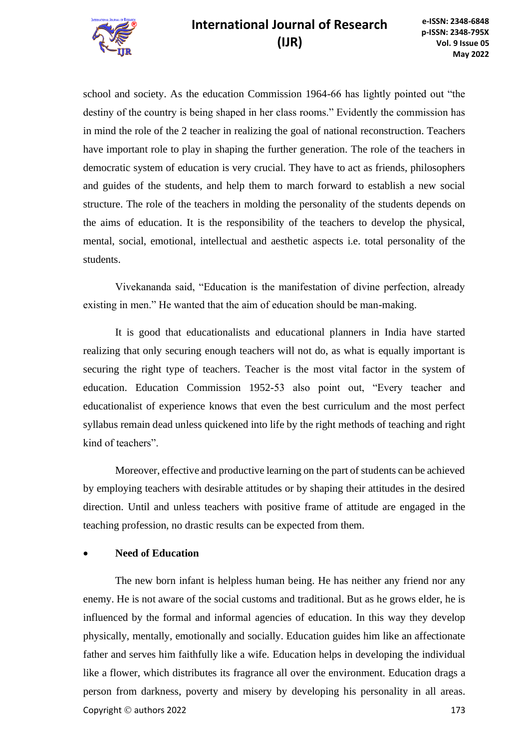

school and society. As the education Commission 1964-66 has lightly pointed out "the destiny of the country is being shaped in her class rooms." Evidently the commission has in mind the role of the 2 teacher in realizing the goal of national reconstruction. Teachers have important role to play in shaping the further generation. The role of the teachers in democratic system of education is very crucial. They have to act as friends, philosophers and guides of the students, and help them to march forward to establish a new social structure. The role of the teachers in molding the personality of the students depends on the aims of education. It is the responsibility of the teachers to develop the physical, mental, social, emotional, intellectual and aesthetic aspects i.e. total personality of the students.

Vivekananda said, "Education is the manifestation of divine perfection, already existing in men." He wanted that the aim of education should be man-making.

It is good that educationalists and educational planners in India have started realizing that only securing enough teachers will not do, as what is equally important is securing the right type of teachers. Teacher is the most vital factor in the system of education. Education Commission 1952-53 also point out, "Every teacher and educationalist of experience knows that even the best curriculum and the most perfect syllabus remain dead unless quickened into life by the right methods of teaching and right kind of teachers".

Moreover, effective and productive learning on the part of students can be achieved by employing teachers with desirable attitudes or by shaping their attitudes in the desired direction. Until and unless teachers with positive frame of attitude are engaged in the teaching profession, no drastic results can be expected from them.

### • **Need of Education**

**Copyright © authors 2022** 173 The new born infant is helpless human being. He has neither any friend nor any enemy. He is not aware of the social customs and traditional. But as he grows elder, he is influenced by the formal and informal agencies of education. In this way they develop physically, mentally, emotionally and socially. Education guides him like an affectionate father and serves him faithfully like a wife. Education helps in developing the individual like a flower, which distributes its fragrance all over the environment. Education drags a person from darkness, poverty and misery by developing his personality in all areas.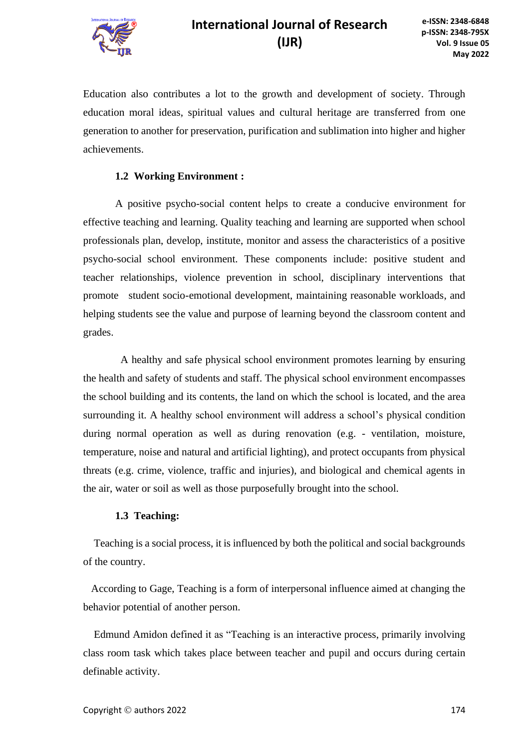

Education also contributes a lot to the growth and development of society. Through education moral ideas, spiritual values and cultural heritage are transferred from one generation to another for preservation, purification and sublimation into higher and higher achievements.

#### **1.2 Working Environment :**

A positive psycho-social content helps to create a conducive environment for effective teaching and learning. Quality teaching and learning are supported when school professionals plan, develop, institute, monitor and assess the characteristics of a positive psycho-social school environment. These components include: positive student and teacher relationships, violence prevention in school, disciplinary interventions that promote student socio-emotional development, maintaining reasonable workloads, and helping students see the value and purpose of learning beyond the classroom content and grades.

 A healthy and safe physical school environment promotes learning by ensuring the health and safety of students and staff. The physical school environment encompasses the school building and its contents, the land on which the school is located, and the area surrounding it. A healthy school environment will address a school's physical condition during normal operation as well as during renovation (e.g. - ventilation, moisture, temperature, noise and natural and artificial lighting), and protect occupants from physical threats (e.g. crime, violence, traffic and injuries), and biological and chemical agents in the air, water or soil as well as those purposefully brought into the school.

#### **1.3 Teaching:**

 Teaching is a social process, it is influenced by both the political and social backgrounds of the country.

 According to Gage, Teaching is a form of interpersonal influence aimed at changing the behavior potential of another person.

 Edmund Amidon defined it as "Teaching is an interactive process, primarily involving class room task which takes place between teacher and pupil and occurs during certain definable activity.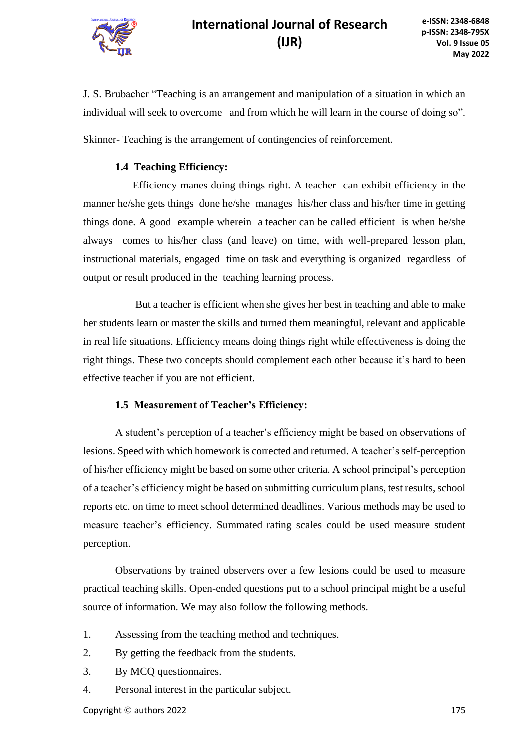

J. S. Brubacher "Teaching is an arrangement and manipulation of a situation in which an individual will seek to overcome and from which he will learn in the course of doing so".

Skinner- Teaching is the arrangement of contingencies of reinforcement.

#### **1.4 Teaching Efficiency:**

 Efficiency manes doing things right. A teacher can exhibit efficiency in the manner he/she gets things done he/she manages his/her class and his/her time in getting things done. A good example wherein a teacher can be called efficient is when he/she always comes to his/her class (and leave) on time, with well-prepared lesson plan, instructional materials, engaged time on task and everything is organized regardless of output or result produced in the teaching learning process.

 But a teacher is efficient when she gives her best in teaching and able to make her students learn or master the skills and turned them meaningful, relevant and applicable in real life situations. Efficiency means doing things right while effectiveness is doing the right things. These two concepts should complement each other because it's hard to been effective teacher if you are not efficient.

#### **1.5 Measurement of Teacher's Efficiency:**

A student's perception of a teacher's efficiency might be based on observations of lesions. Speed with which homework is corrected and returned. A teacher's self-perception of his/her efficiency might be based on some other criteria. A school principal's perception of a teacher's efficiency might be based on submitting curriculum plans, test results, school reports etc. on time to meet school determined deadlines. Various methods may be used to measure teacher's efficiency. Summated rating scales could be used measure student perception.

 Observations by trained observers over a few lesions could be used to measure practical teaching skills. Open-ended questions put to a school principal might be a useful source of information. We may also follow the following methods.

- 1. Assessing from the teaching method and techniques.
- 2. By getting the feedback from the students.
- 3. By MCQ questionnaires.
- 4. Personal interest in the particular subject.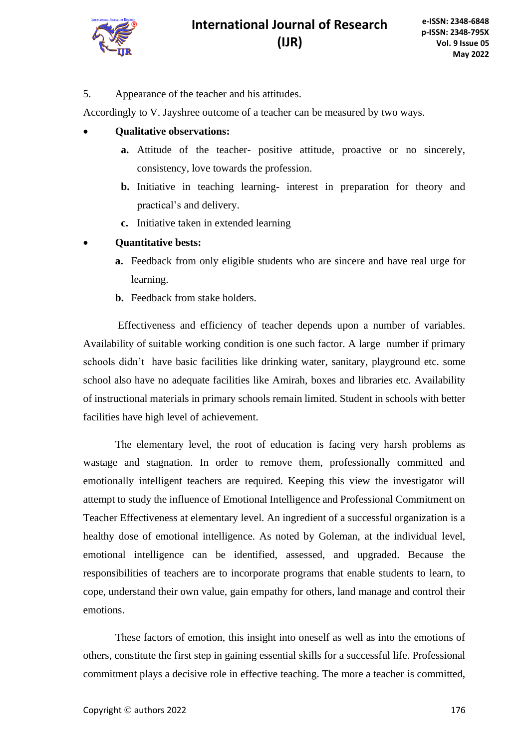

5. Appearance of the teacher and his attitudes.

Accordingly to V. Jayshree outcome of a teacher can be measured by two ways.

- **Qualitative observations:**
	- **a.** Attitude of the teacher- positive attitude, proactive or no sincerely, consistency, love towards the profession.
	- **b.** Initiative in teaching learning- interest in preparation for theory and practical's and delivery.
	- **c.** Initiative taken in extended learning
- **Quantitative bests:**
	- **a.** Feedback from only eligible students who are sincere and have real urge for learning.
	- **b.** Feedback from stake holders.

Effectiveness and efficiency of teacher depends upon a number of variables. Availability of suitable working condition is one such factor. A large number if primary schools didn't have basic facilities like drinking water, sanitary, playground etc. some school also have no adequate facilities like Amirah, boxes and libraries etc. Availability of instructional materials in primary schools remain limited. Student in schools with better facilities have high level of achievement.

The elementary level, the root of education is facing very harsh problems as wastage and stagnation. In order to remove them, professionally committed and emotionally intelligent teachers are required. Keeping this view the investigator will attempt to study the influence of Emotional Intelligence and Professional Commitment on Teacher Effectiveness at elementary level. An ingredient of a successful organization is a healthy dose of emotional intelligence. As noted by Goleman, at the individual level, emotional intelligence can be identified, assessed, and upgraded. Because the responsibilities of teachers are to incorporate programs that enable students to learn, to cope, understand their own value, gain empathy for others, land manage and control their emotions.

These factors of emotion, this insight into oneself as well as into the emotions of others, constitute the first step in gaining essential skills for a successful life. Professional commitment plays a decisive role in effective teaching. The more a teacher is committed,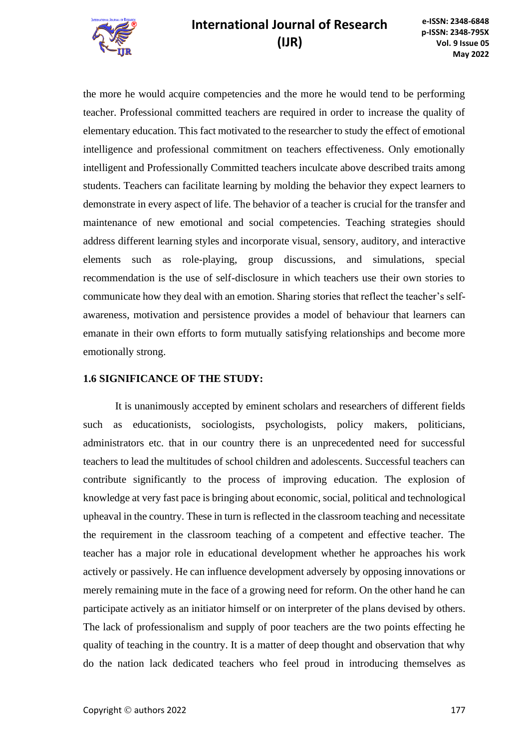

the more he would acquire competencies and the more he would tend to be performing teacher. Professional committed teachers are required in order to increase the quality of elementary education. This fact motivated to the researcher to study the effect of emotional intelligence and professional commitment on teachers effectiveness. Only emotionally intelligent and Professionally Committed teachers inculcate above described traits among students. Teachers can facilitate learning by molding the behavior they expect learners to demonstrate in every aspect of life. The behavior of a teacher is crucial for the transfer and maintenance of new emotional and social competencies. Teaching strategies should address different learning styles and incorporate visual, sensory, auditory, and interactive elements such as role-playing, group discussions, and simulations, special recommendation is the use of self-disclosure in which teachers use their own stories to communicate how they deal with an emotion. Sharing stories that reflect the teacher's selfawareness, motivation and persistence provides a model of behaviour that learners can emanate in their own efforts to form mutually satisfying relationships and become more emotionally strong.

### **1.6 SIGNIFICANCE OF THE STUDY:**

It is unanimously accepted by eminent scholars and researchers of different fields such as educationists, sociologists, psychologists, policy makers, politicians, administrators etc. that in our country there is an unprecedented need for successful teachers to lead the multitudes of school children and adolescents. Successful teachers can contribute significantly to the process of improving education. The explosion of knowledge at very fast pace is bringing about economic, social, political and technological upheaval in the country. These in turn is reflected in the classroom teaching and necessitate the requirement in the classroom teaching of a competent and effective teacher. The teacher has a major role in educational development whether he approaches his work actively or passively. He can influence development adversely by opposing innovations or merely remaining mute in the face of a growing need for reform. On the other hand he can participate actively as an initiator himself or on interpreter of the plans devised by others. The lack of professionalism and supply of poor teachers are the two points effecting he quality of teaching in the country. It is a matter of deep thought and observation that why do the nation lack dedicated teachers who feel proud in introducing themselves as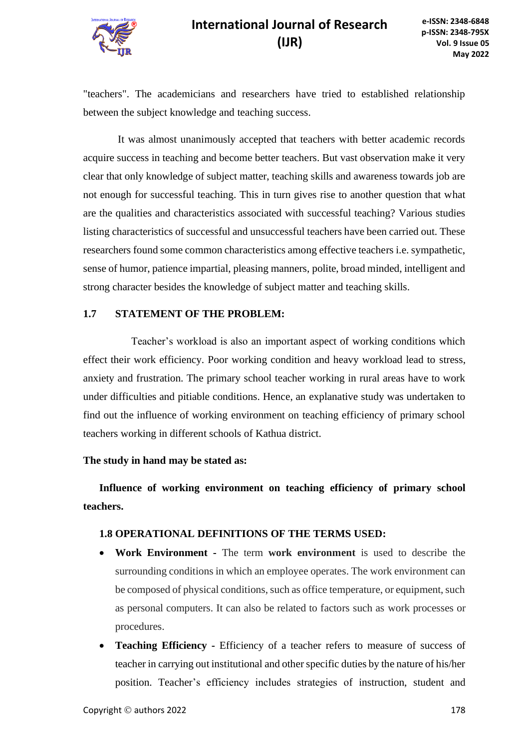

"teachers". The academicians and researchers have tried to established relationship between the subject knowledge and teaching success.

It was almost unanimously accepted that teachers with better academic records acquire success in teaching and become better teachers. But vast observation make it very clear that only knowledge of subject matter, teaching skills and awareness towards job are not enough for successful teaching. This in turn gives rise to another question that what are the qualities and characteristics associated with successful teaching? Various studies listing characteristics of successful and unsuccessful teachers have been carried out. These researchers found some common characteristics among effective teachers i.e. sympathetic, sense of humor, patience impartial, pleasing manners, polite, broad minded, intelligent and strong character besides the knowledge of subject matter and teaching skills.

#### **1.7 STATEMENT OF THE PROBLEM:**

Teacher's workload is also an important aspect of working conditions which effect their work efficiency. Poor working condition and heavy workload lead to stress, anxiety and frustration. The primary school teacher working in rural areas have to work under difficulties and pitiable conditions. Hence, an explanative study was undertaken to find out the influence of working environment on teaching efficiency of primary school teachers working in different schools of Kathua district.

#### **The study in hand may be stated as:**

**Influence of working environment on teaching efficiency of primary school teachers.**

#### **1.8 OPERATIONAL DEFINITIONS OF THE TERMS USED:**

- **Work Environment -** The term **work environment** is used to describe the surrounding conditions in which an employee operates. The work environment can be composed of physical conditions, such as office temperature, or equipment, such as personal computers. It can also be related to factors such as work processes or procedures.
- **Teaching Efficiency -** Efficiency of a teacher refers to measure of success of teacher in carrying out institutional and other specific duties by the nature of his/her position. Teacher's efficiency includes strategies of instruction, student and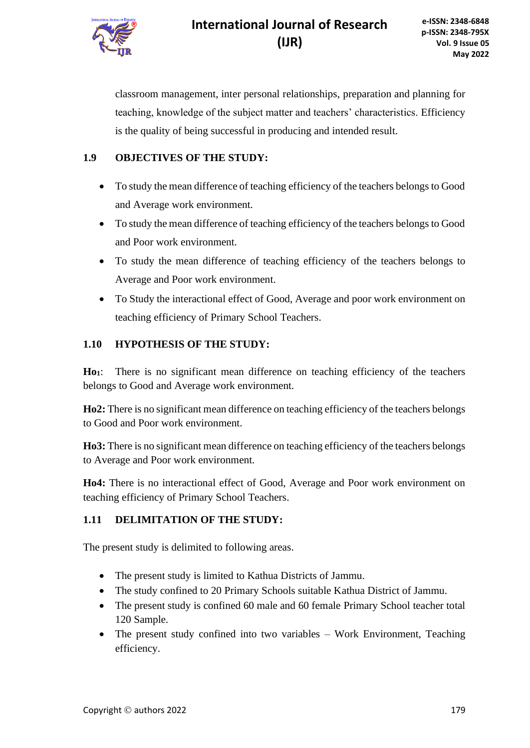

classroom management, inter personal relationships, preparation and planning for teaching, knowledge of the subject matter and teachers' characteristics. Efficiency is the quality of being successful in producing and intended result.

### **1.9 OBJECTIVES OF THE STUDY:**

- To study the mean difference of teaching efficiency of the teachers belongs to Good and Average work environment.
- To study the mean difference of teaching efficiency of the teachers belongs to Good and Poor work environment.
- To study the mean difference of teaching efficiency of the teachers belongs to Average and Poor work environment.
- To Study the interactional effect of Good, Average and poor work environment on teaching efficiency of Primary School Teachers.

### **1.10 HYPOTHESIS OF THE STUDY:**

**Ho1**: There is no significant mean difference on teaching efficiency of the teachers belongs to Good and Average work environment.

**Ho2:** There is no significant mean difference on teaching efficiency of the teachers belongs to Good and Poor work environment.

**Ho3:** There is no significant mean difference on teaching efficiency of the teachers belongs to Average and Poor work environment.

**Ho4:** There is no interactional effect of Good, Average and Poor work environment on teaching efficiency of Primary School Teachers.

### **1.11 DELIMITATION OF THE STUDY:**

The present study is delimited to following areas.

- The present study is limited to Kathua Districts of Jammu.
- The study confined to 20 Primary Schools suitable Kathua District of Jammu.
- The present study is confined 60 male and 60 female Primary School teacher total 120 Sample.
- The present study confined into two variables Work Environment, Teaching efficiency.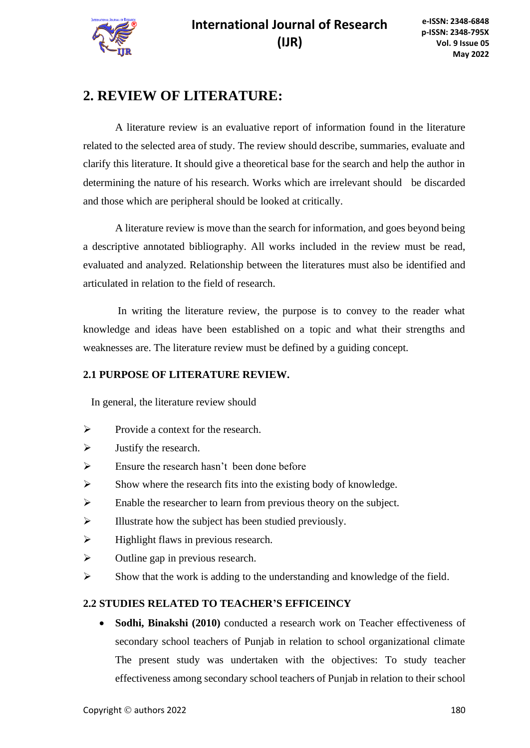

## **2. REVIEW OF LITERATURE:**

A literature review is an evaluative report of information found in the literature related to the selected area of study. The review should describe, summaries, evaluate and clarify this literature. It should give a theoretical base for the search and help the author in determining the nature of his research. Works which are irrelevant should be discarded and those which are peripheral should be looked at critically.

A literature review is move than the search for information, and goes beyond being a descriptive annotated bibliography. All works included in the review must be read, evaluated and analyzed. Relationship between the literatures must also be identified and articulated in relation to the field of research.

In writing the literature review, the purpose is to convey to the reader what knowledge and ideas have been established on a topic and what their strengths and weaknesses are. The literature review must be defined by a guiding concept.

### **2.1 PURPOSE OF LITERATURE REVIEW.**

In general, the literature review should

- ➢ Provide a context for the research.
- $\triangleright$  Justify the research.
- $\triangleright$  Ensure the research hasn't been done before
- $\triangleright$  Show where the research fits into the existing body of knowledge.
- ➢ Enable the researcher to learn from previous theory on the subject.
- $\triangleright$  Illustrate how the subject has been studied previously.
- $\triangleright$  Highlight flaws in previous research.
- $\triangleright$  Outline gap in previous research.
- $\triangleright$  Show that the work is adding to the understanding and knowledge of the field.

### **2.2 STUDIES RELATED TO TEACHER'S EFFICEINCY**

• **Sodhi, Binakshi (2010)** conducted a research work on Teacher effectiveness of secondary school teachers of Punjab in relation to school organizational climate The present study was undertaken with the objectives: To study teacher effectiveness among secondary school teachers of Punjab in relation to their school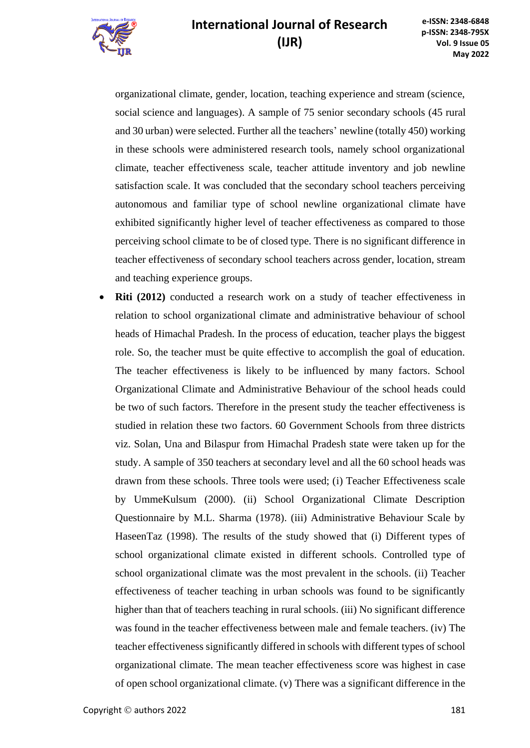

organizational climate, gender, location, teaching experience and stream (science, social science and languages). A sample of 75 senior secondary schools (45 rural and 30 urban) were selected. Further all the teachers' newline (totally 450) working in these schools were administered research tools, namely school organizational climate, teacher effectiveness scale, teacher attitude inventory and job newline satisfaction scale. It was concluded that the secondary school teachers perceiving autonomous and familiar type of school newline organizational climate have exhibited significantly higher level of teacher effectiveness as compared to those perceiving school climate to be of closed type. There is no significant difference in teacher effectiveness of secondary school teachers across gender, location, stream and teaching experience groups.

**Riti (2012)** conducted a research work on a study of teacher effectiveness in relation to school organizational climate and administrative behaviour of school heads of Himachal Pradesh. In the process of education, teacher plays the biggest role. So, the teacher must be quite effective to accomplish the goal of education. The teacher effectiveness is likely to be influenced by many factors. School Organizational Climate and Administrative Behaviour of the school heads could be two of such factors. Therefore in the present study the teacher effectiveness is studied in relation these two factors. 60 Government Schools from three districts viz. Solan, Una and Bilaspur from Himachal Pradesh state were taken up for the study. A sample of 350 teachers at secondary level and all the 60 school heads was drawn from these schools. Three tools were used; (i) Teacher Effectiveness scale by UmmeKulsum (2000). (ii) School Organizational Climate Description Questionnaire by M.L. Sharma (1978). (iii) Administrative Behaviour Scale by HaseenTaz (1998). The results of the study showed that (i) Different types of school organizational climate existed in different schools. Controlled type of school organizational climate was the most prevalent in the schools. (ii) Teacher effectiveness of teacher teaching in urban schools was found to be significantly higher than that of teachers teaching in rural schools. (iii) No significant difference was found in the teacher effectiveness between male and female teachers. (iv) The teacher effectiveness significantly differed in schools with different types of school organizational climate. The mean teacher effectiveness score was highest in case of open school organizational climate. (v) There was a significant difference in the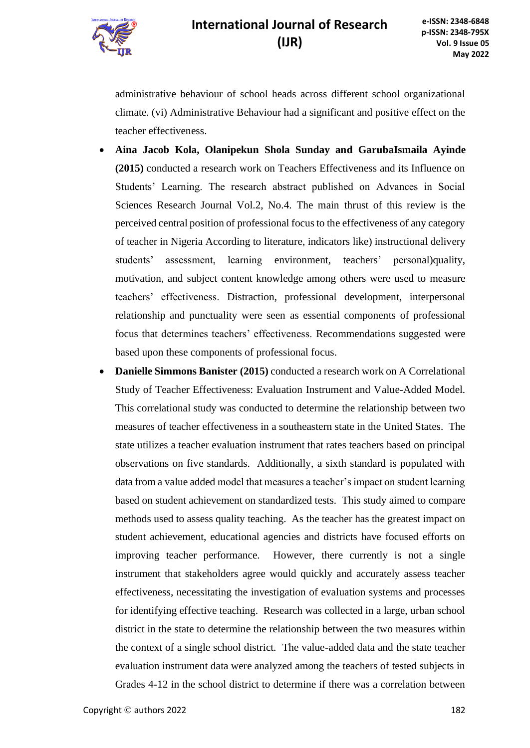

administrative behaviour of school heads across different school organizational climate. (vi) Administrative Behaviour had a significant and positive effect on the teacher effectiveness.

- **Aina Jacob Kola, Olanipekun Shola Sunday and GarubaIsmaila Ayinde (2015)** conducted a research work on Teachers Effectiveness and its Influence on Students' Learning. The research abstract published on Advances in Social Sciences Research Journal Vol.2, No.4. The main thrust of this review is the perceived central position of professional focus to the effectiveness of any category of teacher in Nigeria According to literature, indicators like) instructional delivery students' assessment, learning environment, teachers' personal)quality, motivation, and subject content knowledge among others were used to measure teachers' effectiveness. Distraction, professional development, interpersonal relationship and punctuality were seen as essential components of professional focus that determines teachers' effectiveness. Recommendations suggested were based upon these components of professional focus.
- **Danielle Simmons Banister (2015)** conducted a research work on A Correlational Study of Teacher Effectiveness: Evaluation Instrument and Value-Added Model. This correlational study was conducted to determine the relationship between two measures of teacher effectiveness in a southeastern state in the United States. The state utilizes a teacher evaluation instrument that rates teachers based on principal observations on five standards. Additionally, a sixth standard is populated with data from a value added model that measures a teacher's impact on student learning based on student achievement on standardized tests. This study aimed to compare methods used to assess quality teaching. As the teacher has the greatest impact on student achievement, educational agencies and districts have focused efforts on improving teacher performance. However, there currently is not a single instrument that stakeholders agree would quickly and accurately assess teacher effectiveness, necessitating the investigation of evaluation systems and processes for identifying effective teaching. Research was collected in a large, urban school district in the state to determine the relationship between the two measures within the context of a single school district. The value-added data and the state teacher evaluation instrument data were analyzed among the teachers of tested subjects in Grades 4-12 in the school district to determine if there was a correlation between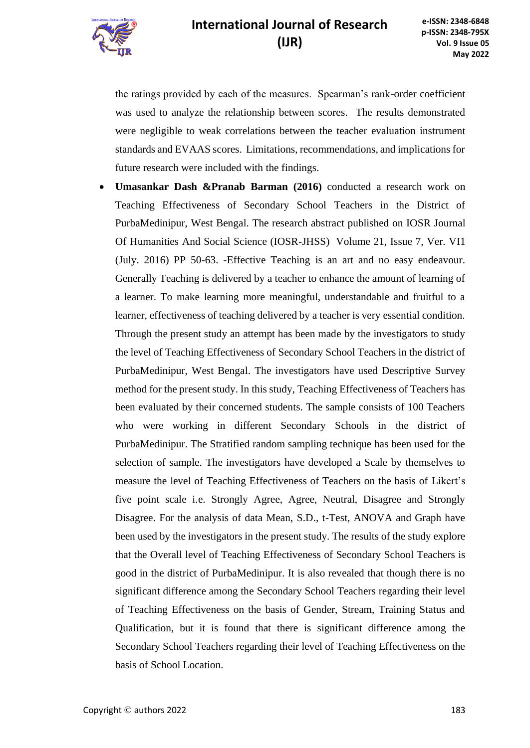

the ratings provided by each of the measures. Spearman's rank-order coefficient was used to analyze the relationship between scores. The results demonstrated were negligible to weak correlations between the teacher evaluation instrument standards and EVAAS scores. Limitations, recommendations, and implications for future research were included with the findings.

• **Umasankar Dash &Pranab Barman (2016)** conducted a research work on Teaching Effectiveness of Secondary School Teachers in the District of PurbaMedinipur, West Bengal. The research abstract published on IOSR Journal Of Humanities And Social Science (IOSR-JHSS) Volume 21, Issue 7, Ver. VI1 (July. 2016) PP 50-63. -Effective Teaching is an art and no easy endeavour. Generally Teaching is delivered by a teacher to enhance the amount of learning of a learner. To make learning more meaningful, understandable and fruitful to a learner, effectiveness of teaching delivered by a teacher is very essential condition. Through the present study an attempt has been made by the investigators to study the level of Teaching Effectiveness of Secondary School Teachers in the district of PurbaMedinipur, West Bengal. The investigators have used Descriptive Survey method for the present study. In this study, Teaching Effectiveness of Teachers has been evaluated by their concerned students. The sample consists of 100 Teachers who were working in different Secondary Schools in the district of PurbaMedinipur. The Stratified random sampling technique has been used for the selection of sample. The investigators have developed a Scale by themselves to measure the level of Teaching Effectiveness of Teachers on the basis of Likert's five point scale i.e. Strongly Agree, Agree, Neutral, Disagree and Strongly Disagree. For the analysis of data Mean, S.D., t-Test, ANOVA and Graph have been used by the investigators in the present study. The results of the study explore that the Overall level of Teaching Effectiveness of Secondary School Teachers is good in the district of PurbaMedinipur. It is also revealed that though there is no significant difference among the Secondary School Teachers regarding their level of Teaching Effectiveness on the basis of Gender, Stream, Training Status and Qualification, but it is found that there is significant difference among the Secondary School Teachers regarding their level of Teaching Effectiveness on the basis of School Location.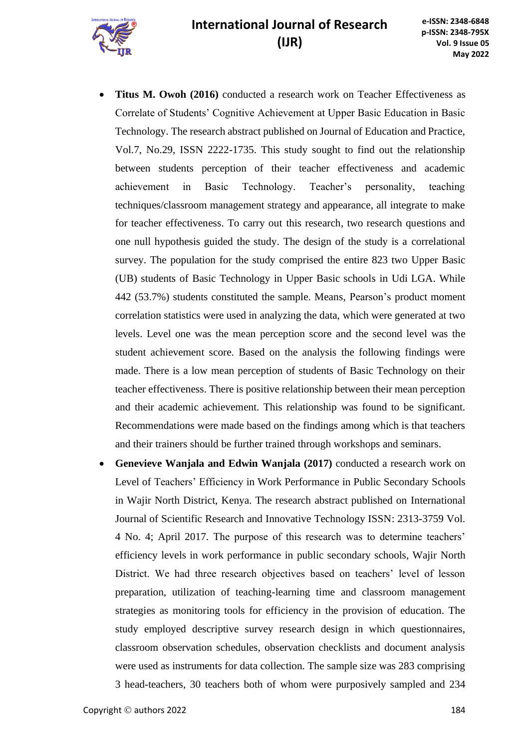

- **Titus M. Owoh (2016)** conducted a research work on Teacher Effectiveness as Correlate of Students' Cognitive Achievement at Upper Basic Education in Basic Technology. The research abstract published on Journal of Education and Practice, Vol.7, No.29, ISSN 2222-1735. This study sought to find out the relationship between students perception of their teacher effectiveness and academic achievement in Basic Technology. Teacher's personality, teaching techniques/classroom management strategy and appearance, all integrate to make for teacher effectiveness. To carry out this research, two research questions and one null hypothesis guided the study. The design of the study is a correlational survey. The population for the study comprised the entire 823 two Upper Basic (UB) students of Basic Technology in Upper Basic schools in Udi LGA. While 442 (53.7%) students constituted the sample. Means, Pearson's product moment correlation statistics were used in analyzing the data, which were generated at two levels. Level one was the mean perception score and the second level was the student achievement score. Based on the analysis the following findings were made. There is a low mean perception of students of Basic Technology on their teacher effectiveness. There is positive relationship between their mean perception and their academic achievement. This relationship was found to be significant. Recommendations were made based on the findings among which is that teachers and their trainers should be further trained through workshops and seminars.
- **Genevieve Wanjala and Edwin Wanjala (2017)** conducted a research work on Level of Teachers' Efficiency in Work Performance in Public Secondary Schools in Wajir North District, Kenya. The research abstract published on International Journal of Scientific Research and Innovative Technology ISSN: 2313-3759 Vol. 4 No. 4; April 2017. The purpose of this research was to determine teachers' efficiency levels in work performance in public secondary schools, Wajir North District. We had three research objectives based on teachers' level of lesson preparation, utilization of teaching-learning time and classroom management strategies as monitoring tools for efficiency in the provision of education. The study employed descriptive survey research design in which questionnaires, classroom observation schedules, observation checklists and document analysis were used as instruments for data collection. The sample size was 283 comprising 3 head-teachers, 30 teachers both of whom were purposively sampled and 234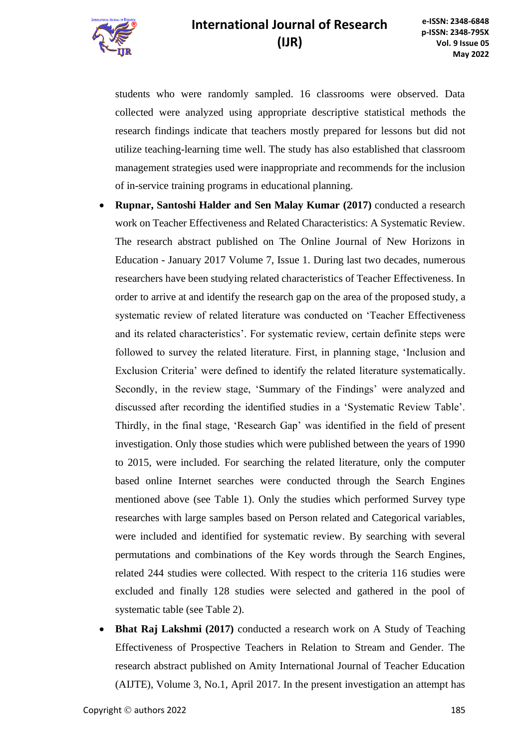

students who were randomly sampled. 16 classrooms were observed. Data collected were analyzed using appropriate descriptive statistical methods the research findings indicate that teachers mostly prepared for lessons but did not utilize teaching-learning time well. The study has also established that classroom management strategies used were inappropriate and recommends for the inclusion of in-service training programs in educational planning.

- **Rupnar, Santoshi Halder and Sen Malay Kumar (2017)** conducted a research work on Teacher Effectiveness and Related Characteristics: A Systematic Review. The research abstract published on The Online Journal of New Horizons in Education - January 2017 Volume 7, Issue 1. During last two decades, numerous researchers have been studying related characteristics of Teacher Effectiveness. In order to arrive at and identify the research gap on the area of the proposed study, a systematic review of related literature was conducted on 'Teacher Effectiveness and its related characteristics'. For systematic review, certain definite steps were followed to survey the related literature. First, in planning stage, 'Inclusion and Exclusion Criteria' were defined to identify the related literature systematically. Secondly, in the review stage, 'Summary of the Findings' were analyzed and discussed after recording the identified studies in a 'Systematic Review Table'. Thirdly, in the final stage, 'Research Gap' was identified in the field of present investigation. Only those studies which were published between the years of 1990 to 2015, were included. For searching the related literature, only the computer based online Internet searches were conducted through the Search Engines mentioned above (see Table 1). Only the studies which performed Survey type researches with large samples based on Person related and Categorical variables, were included and identified for systematic review. By searching with several permutations and combinations of the Key words through the Search Engines, related 244 studies were collected. With respect to the criteria 116 studies were excluded and finally 128 studies were selected and gathered in the pool of systematic table (see Table 2).
- **Bhat Raj Lakshmi (2017)** conducted a research work on A Study of Teaching Effectiveness of Prospective Teachers in Relation to Stream and Gender. The research abstract published on Amity International Journal of Teacher Education (AIJTE), Volume 3, No.1, April 2017. In the present investigation an attempt has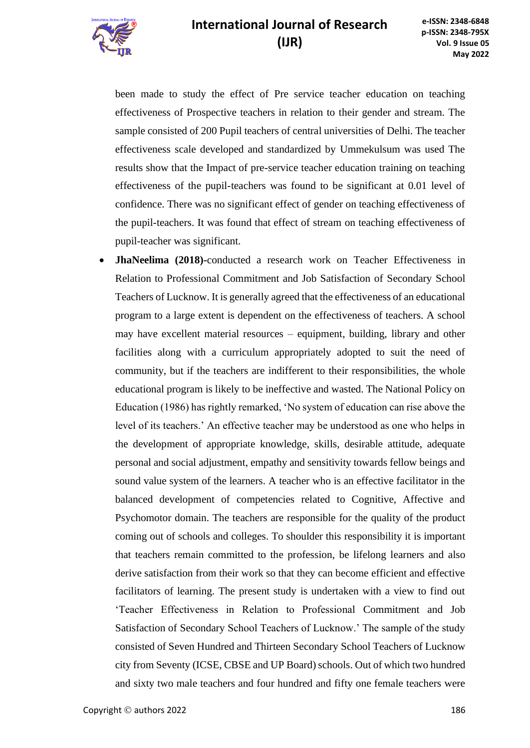been made to study the effect of Pre service teacher education on teaching effectiveness of Prospective teachers in relation to their gender and stream. The sample consisted of 200 Pupil teachers of central universities of Delhi. The teacher effectiveness scale developed and standardized by Ummekulsum was used The results show that the Impact of pre-service teacher education training on teaching effectiveness of the pupil-teachers was found to be significant at 0.01 level of confidence. There was no significant effect of gender on teaching effectiveness of the pupil-teachers. It was found that effect of stream on teaching effectiveness of pupil-teacher was significant.

• **JhaNeelima (2018)-**conducted a research work on Teacher Effectiveness in Relation to Professional Commitment and Job Satisfaction of Secondary School Teachers of Lucknow. It is generally agreed that the effectiveness of an educational program to a large extent is dependent on the effectiveness of teachers. A school may have excellent material resources – equipment, building, library and other facilities along with a curriculum appropriately adopted to suit the need of community, but if the teachers are indifferent to their responsibilities, the whole educational program is likely to be ineffective and wasted. The National Policy on Education (1986) has rightly remarked, 'No system of education can rise above the level of its teachers.' An effective teacher may be understood as one who helps in the development of appropriate knowledge, skills, desirable attitude, adequate personal and social adjustment, empathy and sensitivity towards fellow beings and sound value system of the learners. A teacher who is an effective facilitator in the balanced development of competencies related to Cognitive, Affective and Psychomotor domain. The teachers are responsible for the quality of the product coming out of schools and colleges. To shoulder this responsibility it is important that teachers remain committed to the profession, be lifelong learners and also derive satisfaction from their work so that they can become efficient and effective facilitators of learning. The present study is undertaken with a view to find out 'Teacher Effectiveness in Relation to Professional Commitment and Job Satisfaction of Secondary School Teachers of Lucknow.' The sample of the study consisted of Seven Hundred and Thirteen Secondary School Teachers of Lucknow city from Seventy (ICSE, CBSE and UP Board) schools. Out of which two hundred and sixty two male teachers and four hundred and fifty one female teachers were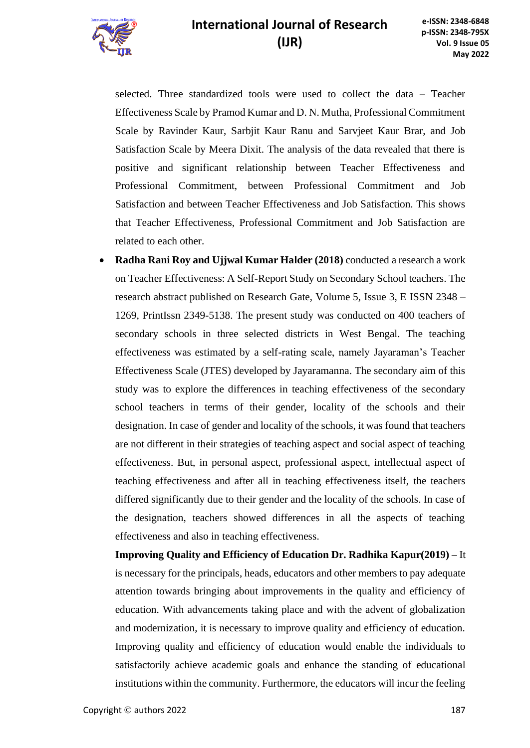

selected. Three standardized tools were used to collect the data – Teacher Effectiveness Scale by Pramod Kumar and D. N. Mutha, Professional Commitment Scale by Ravinder Kaur, Sarbjit Kaur Ranu and Sarvjeet Kaur Brar, and Job Satisfaction Scale by Meera Dixit. The analysis of the data revealed that there is positive and significant relationship between Teacher Effectiveness and Professional Commitment, between Professional Commitment and Job Satisfaction and between Teacher Effectiveness and Job Satisfaction. This shows that Teacher Effectiveness, Professional Commitment and Job Satisfaction are related to each other.

• **Radha Rani Roy and Ujjwal Kumar Halder (2018)** conducted a research a work on Teacher Effectiveness: A Self-Report Study on Secondary School teachers. The research abstract published on Research Gate, Volume 5, Issue 3, E ISSN 2348 – 1269, PrintIssn 2349-5138. The present study was conducted on 400 teachers of secondary schools in three selected districts in West Bengal. The teaching effectiveness was estimated by a self-rating scale, namely Jayaraman's Teacher Effectiveness Scale (JTES) developed by Jayaramanna. The secondary aim of this study was to explore the differences in teaching effectiveness of the secondary school teachers in terms of their gender, locality of the schools and their designation. In case of gender and locality of the schools, it was found that teachers are not different in their strategies of teaching aspect and social aspect of teaching effectiveness. But, in personal aspect, professional aspect, intellectual aspect of teaching effectiveness and after all in teaching effectiveness itself, the teachers differed significantly due to their gender and the locality of the schools. In case of the designation, teachers showed differences in all the aspects of teaching effectiveness and also in teaching effectiveness.

**Improving Quality and Efficiency of Education Dr. Radhika Kapur(2019) –** It is necessary for the principals, heads, educators and other members to pay adequate attention towards bringing about improvements in the quality and efficiency of education. With advancements taking place and with the advent of globalization and modernization, it is necessary to improve quality and efficiency of education. Improving quality and efficiency of education would enable the individuals to satisfactorily achieve academic goals and enhance the standing of educational institutions within the community. Furthermore, the educators will incur the feeling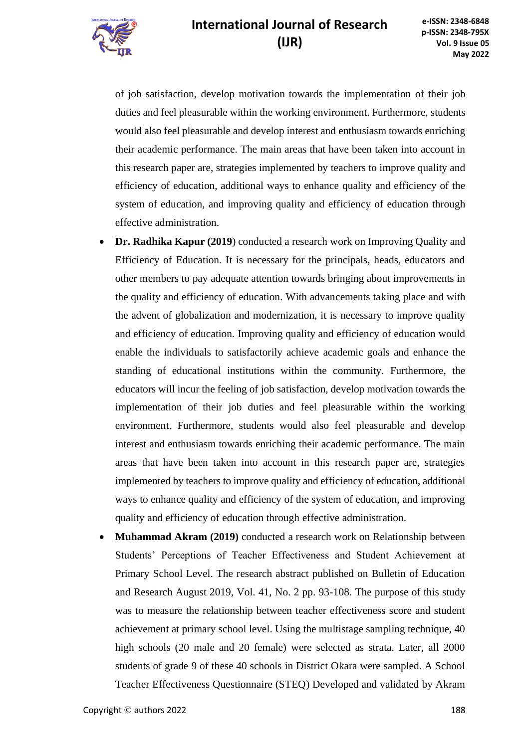of job satisfaction, develop motivation towards the implementation of their job duties and feel pleasurable within the working environment. Furthermore, students would also feel pleasurable and develop interest and enthusiasm towards enriching their academic performance. The main areas that have been taken into account in this research paper are, strategies implemented by teachers to improve quality and efficiency of education, additional ways to enhance quality and efficiency of the system of education, and improving quality and efficiency of education through effective administration.

- **Dr. Radhika Kapur (2019**) conducted a research work on Improving Quality and Efficiency of Education. It is necessary for the principals, heads, educators and other members to pay adequate attention towards bringing about improvements in the quality and efficiency of education. With advancements taking place and with the advent of globalization and modernization, it is necessary to improve quality and efficiency of education. Improving quality and efficiency of education would enable the individuals to satisfactorily achieve academic goals and enhance the standing of educational institutions within the community. Furthermore, the educators will incur the feeling of job satisfaction, develop motivation towards the implementation of their job duties and feel pleasurable within the working environment. Furthermore, students would also feel pleasurable and develop interest and enthusiasm towards enriching their academic performance. The main areas that have been taken into account in this research paper are, strategies implemented by teachers to improve quality and efficiency of education, additional ways to enhance quality and efficiency of the system of education, and improving quality and efficiency of education through effective administration.
- **Muhammad Akram (2019)** conducted a research work on Relationship between Students' Perceptions of Teacher Effectiveness and Student Achievement at Primary School Level. The research abstract published on Bulletin of Education and Research August 2019, Vol. 41, No. 2 pp. 93-108. The purpose of this study was to measure the relationship between teacher effectiveness score and student achievement at primary school level. Using the multistage sampling technique, 40 high schools (20 male and 20 female) were selected as strata. Later, all 2000 students of grade 9 of these 40 schools in District Okara were sampled. A School Teacher Effectiveness Questionnaire (STEQ) Developed and validated by Akram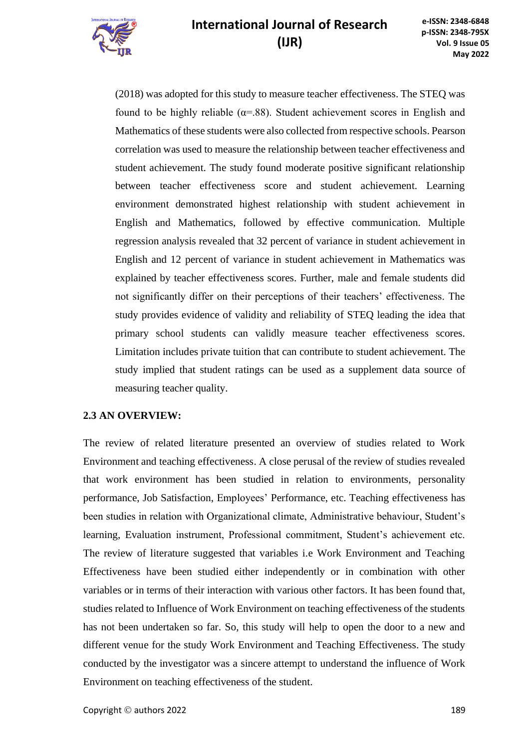

(2018) was adopted for this study to measure teacher effectiveness. The STEQ was found to be highly reliable ( $\alpha$ =.88). Student achievement scores in English and Mathematics of these students were also collected from respective schools. Pearson correlation was used to measure the relationship between teacher effectiveness and student achievement. The study found moderate positive significant relationship between teacher effectiveness score and student achievement. Learning environment demonstrated highest relationship with student achievement in English and Mathematics, followed by effective communication. Multiple regression analysis revealed that 32 percent of variance in student achievement in English and 12 percent of variance in student achievement in Mathematics was explained by teacher effectiveness scores. Further, male and female students did not significantly differ on their perceptions of their teachers' effectiveness. The study provides evidence of validity and reliability of STEQ leading the idea that primary school students can validly measure teacher effectiveness scores. Limitation includes private tuition that can contribute to student achievement. The study implied that student ratings can be used as a supplement data source of measuring teacher quality.

### **2.3 AN OVERVIEW:**

The review of related literature presented an overview of studies related to Work Environment and teaching effectiveness. A close perusal of the review of studies revealed that work environment has been studied in relation to environments, personality performance, Job Satisfaction, Employees' Performance, etc. Teaching effectiveness has been studies in relation with Organizational climate, Administrative behaviour, Student's learning, Evaluation instrument, Professional commitment, Student's achievement etc. The review of literature suggested that variables i.e Work Environment and Teaching Effectiveness have been studied either independently or in combination with other variables or in terms of their interaction with various other factors. It has been found that, studies related to Influence of Work Environment on teaching effectiveness of the students has not been undertaken so far. So, this study will help to open the door to a new and different venue for the study Work Environment and Teaching Effectiveness. The study conducted by the investigator was a sincere attempt to understand the influence of Work Environment on teaching effectiveness of the student.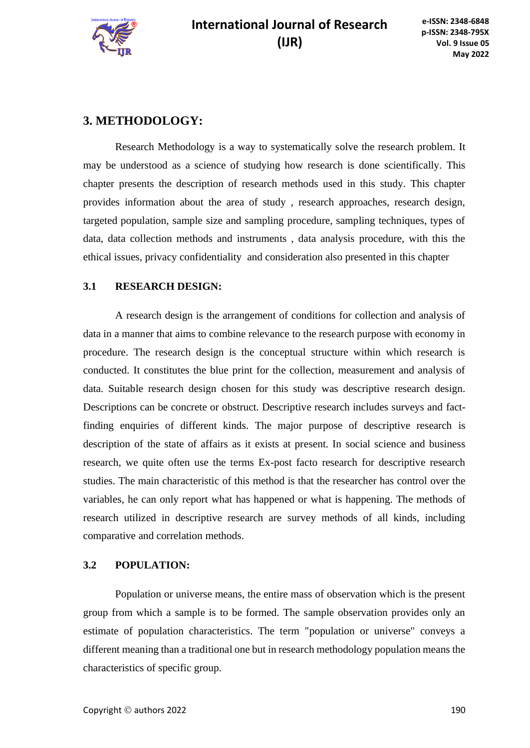

### **3. METHODOLOGY:**

Research Methodology is a way to systematically solve the research problem. It may be understood as a science of studying how research is done scientifically. This chapter presents the description of research methods used in this study. This chapter provides information about the area of study , research approaches, research design, targeted population, sample size and sampling procedure, sampling techniques, types of data, data collection methods and instruments , data analysis procedure, with this the ethical issues, privacy confidentiality and consideration also presented in this chapter

#### **3.1 RESEARCH DESIGN:**

A research design is the arrangement of conditions for collection and analysis of data in a manner that aims to combine relevance to the research purpose with economy in procedure. The research design is the conceptual structure within which research is conducted. It constitutes the blue print for the collection, measurement and analysis of data. Suitable research design chosen for this study was descriptive research design. Descriptions can be concrete or obstruct. Descriptive research includes surveys and factfinding enquiries of different kinds. The major purpose of descriptive research is description of the state of affairs as it exists at present. In social science and business research, we quite often use the terms Ex-post facto research for descriptive research studies. The main characteristic of this method is that the researcher has control over the variables, he can only report what has happened or what is happening. The methods of research utilized in descriptive research are survey methods of all kinds, including comparative and correlation methods.

#### **3.2 POPULATION:**

Population or universe means, the entire mass of observation which is the present group from which a sample is to be formed. The sample observation provides only an estimate of population characteristics. The term "population or universe" conveys a different meaning than a traditional one but in research methodology population means the characteristics of specific group.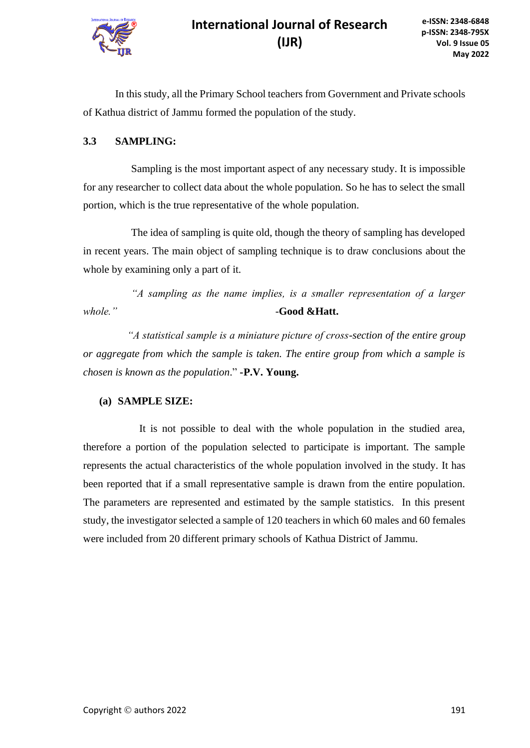

In this study, all the Primary School teachers from Government and Private schools of Kathua district of Jammu formed the population of the study.

### **3.3 SAMPLING:**

Sampling is the most important aspect of any necessary study. It is impossible for any researcher to collect data about the whole population. So he has to select the small portion, which is the true representative of the whole population.

The idea of sampling is quite old, though the theory of sampling has developed in recent years. The main object of sampling technique is to draw conclusions about the whole by examining only a part of it.

*"A sampling as the name implies, is a smaller representation of a larger whole." -***Good &Hatt.**

*"A statistical sample is a miniature picture of cross-section of the entire group or aggregate from which the sample is taken. The entire group from which a sample is chosen is known as the population*." **-P.V. Young.**

### **(a) SAMPLE SIZE:**

 It is not possible to deal with the whole population in the studied area, therefore a portion of the population selected to participate is important. The sample represents the actual characteristics of the whole population involved in the study. It has been reported that if a small representative sample is drawn from the entire population. The parameters are represented and estimated by the sample statistics. In this present study, the investigator selected a sample of 120 teachers in which 60 males and 60 females were included from 20 different primary schools of Kathua District of Jammu.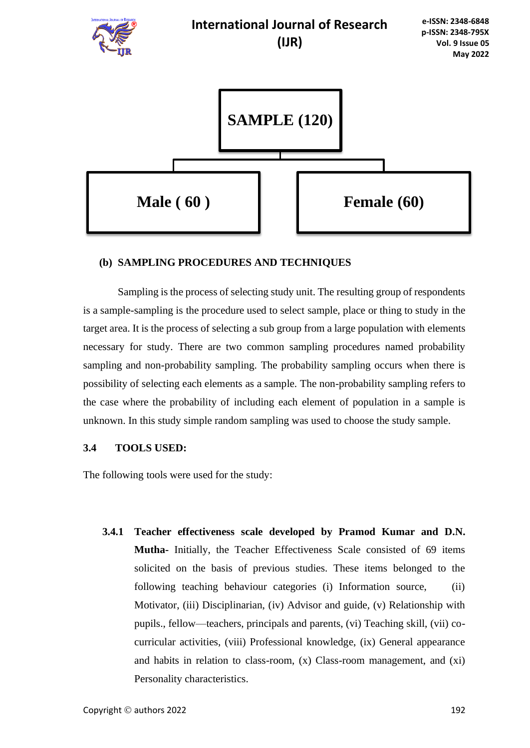

#### **(b) SAMPLING PROCEDURES AND TECHNIQUES**

Sampling is the process of selecting study unit. The resulting group of respondents is a sample-sampling is the procedure used to select sample, place or thing to study in the target area. It is the process of selecting a sub group from a large population with elements necessary for study. There are two common sampling procedures named probability sampling and non-probability sampling. The probability sampling occurs when there is possibility of selecting each elements as a sample. The non-probability sampling refers to the case where the probability of including each element of population in a sample is unknown. In this study simple random sampling was used to choose the study sample.

#### **3.4 TOOLS USED:**

The following tools were used for the study:

**3.4.1 Teacher effectiveness scale developed by Pramod Kumar and D.N. Mutha-** Initially, the Teacher Effectiveness Scale consisted of 69 items solicited on the basis of previous studies. These items belonged to the following teaching behaviour categories (i) Information source, (ii) Motivator, (iii) Disciplinarian, (iv) Advisor and guide, (v) Relationship with pupils., fellow—teachers, principals and parents, (vi) Teaching skill, (vii) cocurricular activities, (viii) Professional knowledge, (ix) General appearance and habits in relation to class-room, (x) Class-room management, and (xi) Personality characteristics.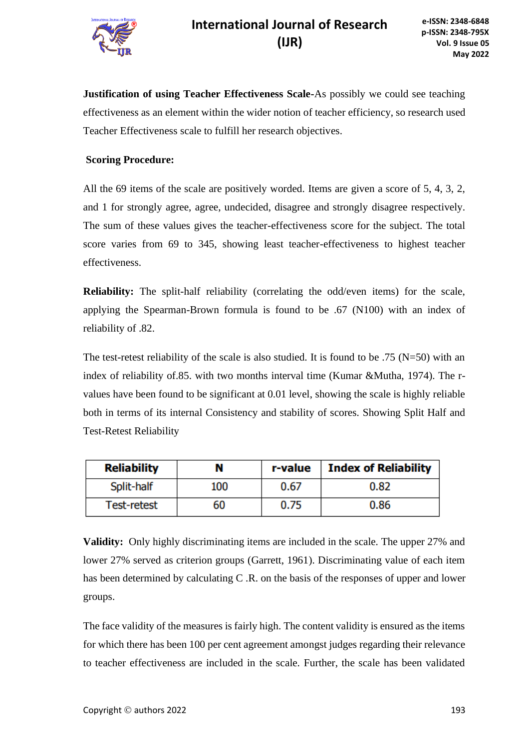

**Justification of using Teacher Effectiveness Scale-**As possibly we could see teaching effectiveness as an element within the wider notion of teacher efficiency, so research used Teacher Effectiveness scale to fulfill her research objectives.

#### **Scoring Procedure:**

All the 69 items of the scale are positively worded. Items are given a score of 5, 4, 3, 2, and 1 for strongly agree, agree, undecided, disagree and strongly disagree respectively. The sum of these values gives the teacher-effectiveness score for the subject. The total score varies from 69 to 345, showing least teacher-effectiveness to highest teacher effectiveness.

**Reliability:** The split-half reliability (correlating the odd/even items) for the scale, applying the Spearman-Brown formula is found to be .67 (N100) with an index of reliability of .82.

The test-retest reliability of the scale is also studied. It is found to be .75 ( $N=50$ ) with an index of reliability of.85. with two months interval time (Kumar &Mutha, 1974). The rvalues have been found to be significant at 0.01 level, showing the scale is highly reliable both in terms of its internal Consistency and stability of scores. Showing Split Half and Test-Retest Reliability

| <b>Reliability</b> | N   | r-value | <b>Index of Reliability</b> |
|--------------------|-----|---------|-----------------------------|
| Split-half         | 100 | 0.67    | 0.82                        |
| <b>Test-retest</b> | 60  | 0.75    | 0.86                        |

**Validity:** Only highly discriminating items are included in the scale. The upper 27% and lower 27% served as criterion groups (Garrett, 1961). Discriminating value of each item has been determined by calculating C .R. on the basis of the responses of upper and lower groups.

The face validity of the measures is fairly high. The content validity is ensured as the items for which there has been 100 per cent agreement amongst judges regarding their relevance to teacher effectiveness are included in the scale. Further, the scale has been validated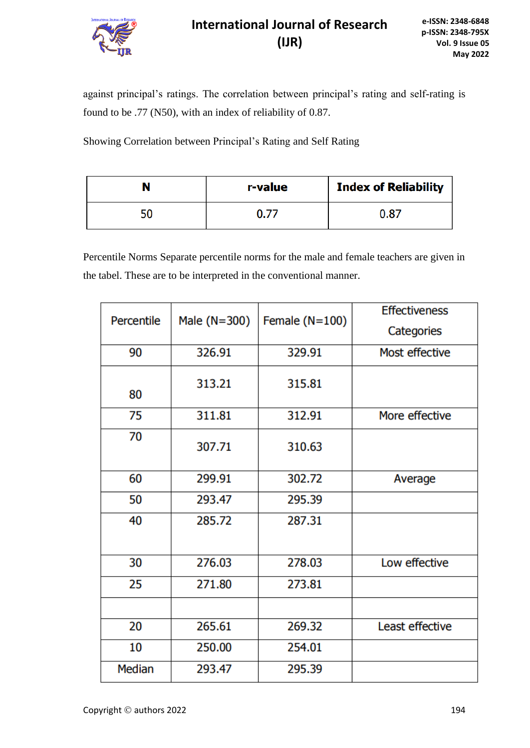

against principal's ratings. The correlation between principal's rating and self-rating is found to be .77 (N50), with an index of reliability of 0.87.

Showing Correlation between Principal's Rating and Self Rating

|    | r-value | <b>Index of Reliability</b> |
|----|---------|-----------------------------|
| 50 | 0.77    | 0.87                        |

Percentile Norms Separate percentile norms for the male and female teachers are given in the tabel. These are to be interpreted in the conventional manner.

| Percentile | Male (N=300) | Female $(N=100)$ | <b>Effectiveness</b><br>Categories |
|------------|--------------|------------------|------------------------------------|
| 90         | 326.91       | 329.91           | Most effective                     |
|            |              |                  |                                    |
| 80         | 313.21       | 315.81           |                                    |
| 75         | 311.81       | 312.91           | More effective                     |
| 70         | 307.71       | 310.63           |                                    |
| 60         | 299.91       | 302.72           | Average                            |
| 50         | 293.47       | 295.39           |                                    |
| 40         | 285.72       | 287.31           |                                    |
| 30         | 276.03       | 278.03           | Low effective                      |
| 25         | 271.80       | 273.81           |                                    |
|            |              |                  |                                    |
| 20         | 265.61       | 269.32           | Least effective                    |
| 10         | 250.00       | 254.01           |                                    |
| Median     | 293.47       | 295.39           |                                    |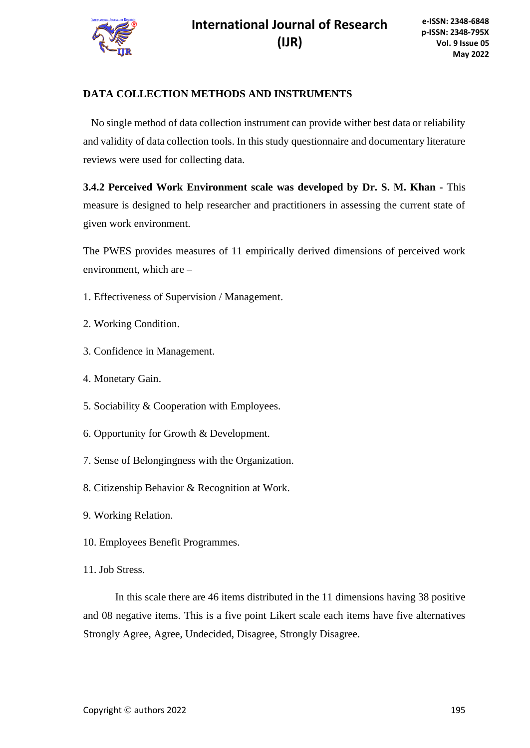

### **DATA COLLECTION METHODS AND INSTRUMENTS**

 No single method of data collection instrument can provide wither best data or reliability and validity of data collection tools. In this study questionnaire and documentary literature reviews were used for collecting data.

**3.4.2 Perceived Work Environment scale was developed by Dr. S. M. Khan -** This measure is designed to help researcher and practitioners in assessing the current state of given work environment.

The PWES provides measures of 11 empirically derived dimensions of perceived work environment, which are –

- 1. Effectiveness of Supervision / Management.
- 2. Working Condition.
- 3. Confidence in Management.
- 4. Monetary Gain.
- 5. Sociability & Cooperation with Employees.
- 6. Opportunity for Growth & Development.
- 7. Sense of Belongingness with the Organization.
- 8. Citizenship Behavior & Recognition at Work.
- 9. Working Relation.
- 10. Employees Benefit Programmes.
- 11. Job Stress.

In this scale there are 46 items distributed in the 11 dimensions having 38 positive and 08 negative items. This is a five point Likert scale each items have five alternatives Strongly Agree, Agree, Undecided, Disagree, Strongly Disagree.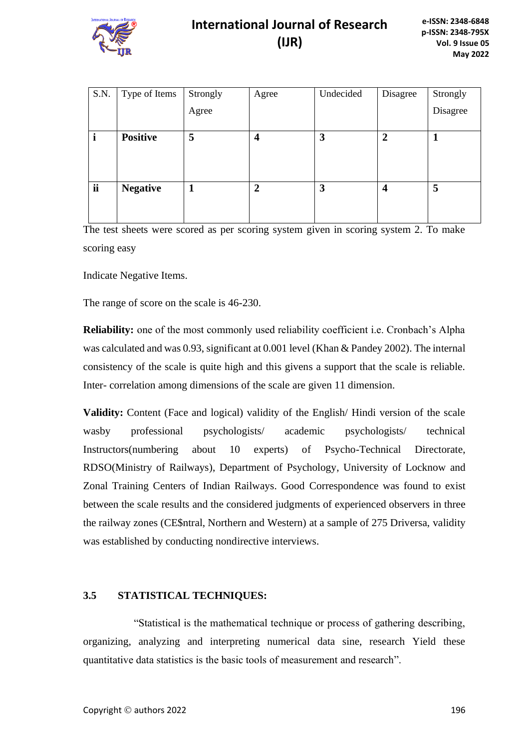

| S.N. | Type of Items   | Strongly | Agree                   | Undecided | Disagree                | Strongly |
|------|-----------------|----------|-------------------------|-----------|-------------------------|----------|
|      |                 | Agree    |                         |           |                         | Disagree |
|      |                 |          |                         |           |                         |          |
|      | <b>Positive</b> | 5        | $\overline{\mathbf{4}}$ | 3         | $\overline{2}$          |          |
|      |                 |          |                         |           |                         |          |
|      |                 |          |                         |           |                         |          |
|      |                 |          |                         |           |                         |          |
| ii   | <b>Negative</b> | 1        | $\overline{2}$          | 3         | $\overline{\mathbf{4}}$ | 5        |
|      |                 |          |                         |           |                         |          |
|      |                 |          |                         |           |                         |          |
|      |                 |          |                         |           |                         |          |

The test sheets were scored as per scoring system given in scoring system 2. To make scoring easy

Indicate Negative Items.

The range of score on the scale is 46-230.

**Reliability:** one of the most commonly used reliability coefficient i.e. Cronbach's Alpha was calculated and was 0.93, significant at 0.001 level (Khan & Pandey 2002). The internal consistency of the scale is quite high and this givens a support that the scale is reliable. Inter- correlation among dimensions of the scale are given 11 dimension.

**Validity:** Content (Face and logical) validity of the English/ Hindi version of the scale wasby professional psychologists/ academic psychologists/ technical Instructors(numbering about 10 experts) of Psycho-Technical Directorate, RDSO(Ministry of Railways), Department of Psychology, University of Locknow and Zonal Training Centers of Indian Railways. Good Correspondence was found to exist between the scale results and the considered judgments of experienced observers in three the railway zones (CE\$ntral, Northern and Western) at a sample of 275 Driversa, validity was established by conducting nondirective interviews.

### **3.5 STATISTICAL TECHNIQUES:**

"Statistical is the mathematical technique or process of gathering describing, organizing, analyzing and interpreting numerical data sine, research Yield these quantitative data statistics is the basic tools of measurement and research".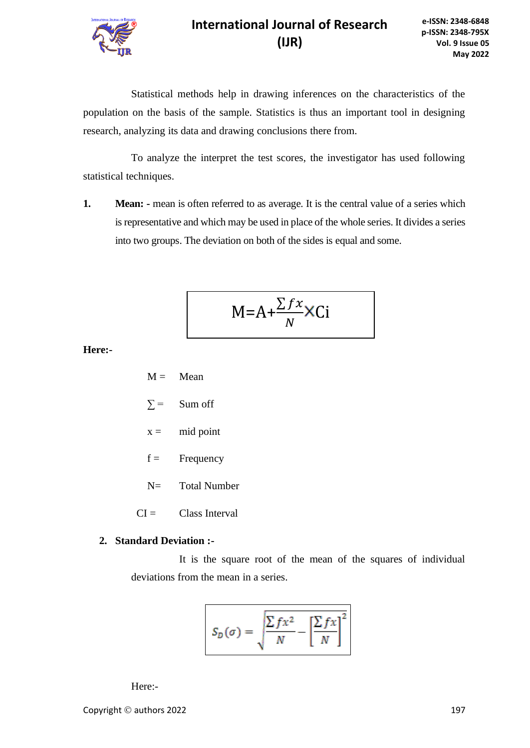

Statistical methods help in drawing inferences on the characteristics of the population on the basis of the sample. Statistics is thus an important tool in designing research, analyzing its data and drawing conclusions there from.

To analyze the interpret the test scores, the investigator has used following statistical techniques.

**1. Mean:** - mean is often referred to as average. It is the central value of a series which is representative and which may be used in place of the whole series. It divides a series into two groups. The deviation on both of the sides is equal and some.

$$
M = A + \frac{\sum fx}{N} \times Ci
$$

**Here:-**

- $M =$ Mean
- $\Sigma$  = Sum off
- $x =$  mid point
- $f =$  Frequency
- N= Total Number
- $CI =$  Class Interval

#### **2. Standard Deviation :-**

It is the square root of the mean of the squares of individual deviations from the mean in a series.

$$
S_D(\sigma) = \sqrt{\frac{\sum fx^2}{N} - \left[\frac{\sum fx}{N}\right]^2}
$$

Here:-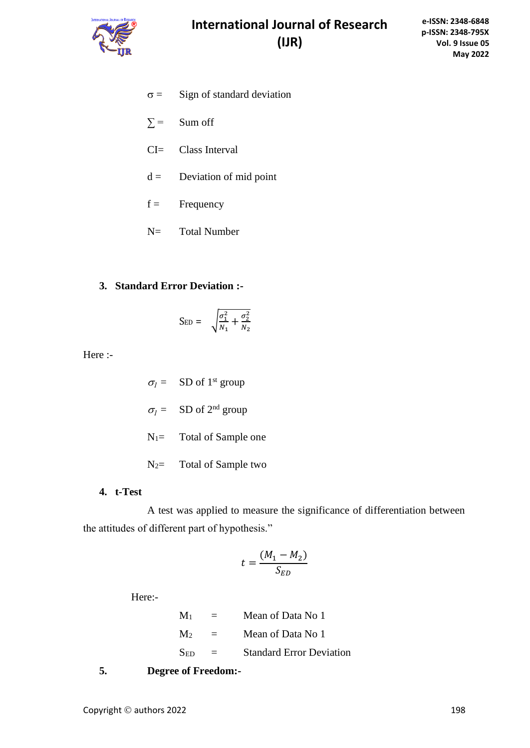

- $\sigma =$  Sign of standard deviation
- $\Sigma$  = Sum off
- CI= Class Interval
- $d =$  Deviation of mid point
- $f =$  Frequency
- N= Total Number

### **3. Standard Error Deviation :-**

$$
S_{ED} = \sqrt{\frac{\sigma_1^2}{N_1} + \frac{\sigma_2^2}{N_2}}
$$

Here :-

 $\sigma_l$  = SD of 1<sup>st</sup> group  $\sigma_l = \text{SD of } 2^{\text{nd}}$  group N<sub>1</sub>= Total of Sample one N<sub>2</sub> Total of Sample two

### **4. t-Test**

A test was applied to measure the significance of differentiation between the attitudes of different part of hypothesis."

$$
t = \frac{(M_1 - M_2)}{S_{ED}}
$$

Here:-

 $M_1$  = Mean of Data No 1  $M_2$  = Mean of Data No 1  $S_{ED}$  = Standard Error Deviation

**5. Degree of Freedom:-**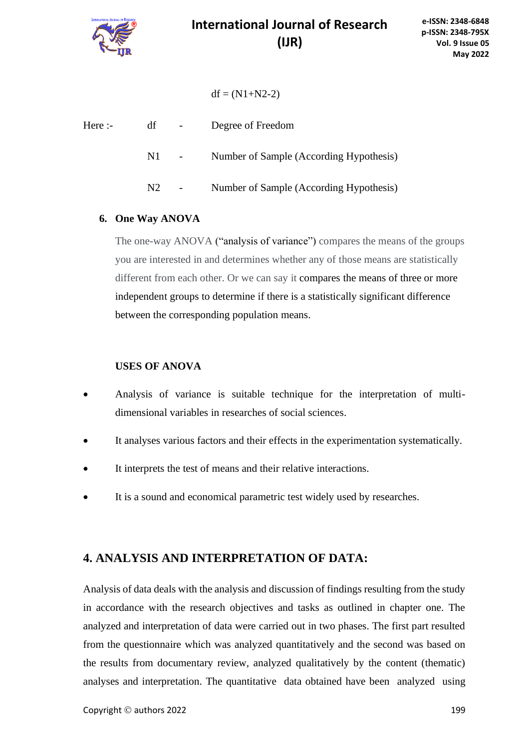

 $df = (N1+N2-2)$ 

| Here :- | df  | $\blacksquare$ | Degree of Freedom                       |
|---------|-----|----------------|-----------------------------------------|
|         | N1. |                | Number of Sample (According Hypothesis) |
|         | N2  | $\sim$         | Number of Sample (According Hypothesis) |

### **6. One Way ANOVA**

The one-way ANOVA ("analysis of variance") compares the means of the groups you are interested in and determines whether any of those means are statistically different from each other. Or we can say it compares the means of three or more independent groups to determine if there is a statistically significant difference between the corresponding population means.

### **USES OF ANOVA**

- Analysis of variance is suitable technique for the interpretation of multidimensional variables in researches of social sciences.
- It analyses various factors and their effects in the experimentation systematically.
- It interprets the test of means and their relative interactions.
- It is a sound and economical parametric test widely used by researches.

### **4. ANALYSIS AND INTERPRETATION OF DATA:**

Analysis of data deals with the analysis and discussion of findings resulting from the study in accordance with the research objectives and tasks as outlined in chapter one. The analyzed and interpretation of data were carried out in two phases. The first part resulted from the questionnaire which was analyzed quantitatively and the second was based on the results from documentary review, analyzed qualitatively by the content (thematic) analyses and interpretation. The quantitative data obtained have been analyzed using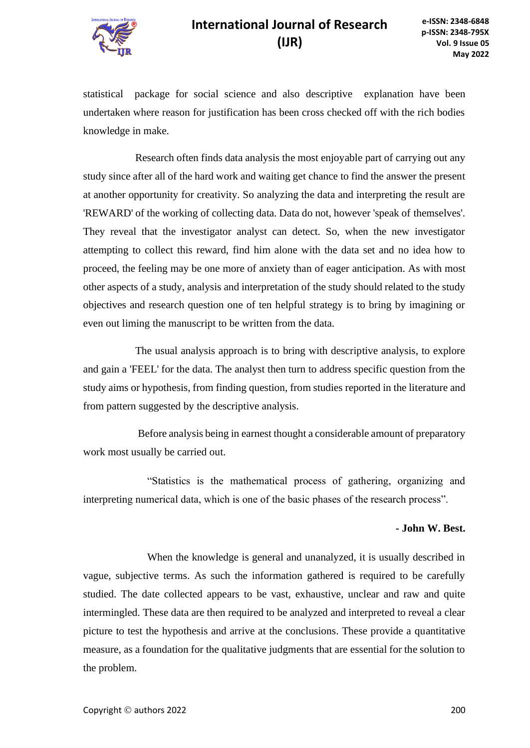

statistical package for social science and also descriptive explanation have been undertaken where reason for justification has been cross checked off with the rich bodies knowledge in make.

Research often finds data analysis the most enjoyable part of carrying out any study since after all of the hard work and waiting get chance to find the answer the present at another opportunity for creativity. So analyzing the data and interpreting the result are 'REWARD' of the working of collecting data. Data do not, however 'speak of themselves'. They reveal that the investigator analyst can detect. So, when the new investigator attempting to collect this reward, find him alone with the data set and no idea how to proceed, the feeling may be one more of anxiety than of eager anticipation. As with most other aspects of a study, analysis and interpretation of the study should related to the study objectives and research question one of ten helpful strategy is to bring by imagining or even out liming the manuscript to be written from the data.

The usual analysis approach is to bring with descriptive analysis, to explore and gain a 'FEEL' for the data. The analyst then turn to address specific question from the study aims or hypothesis, from finding question, from studies reported in the literature and from pattern suggested by the descriptive analysis.

Before analysis being in earnest thought a considerable amount of preparatory work most usually be carried out.

"Statistics is the mathematical process of gathering, organizing and interpreting numerical data, which is one of the basic phases of the research process".

#### **- John W. Best.**

When the knowledge is general and unanalyzed, it is usually described in vague, subjective terms. As such the information gathered is required to be carefully studied. The date collected appears to be vast, exhaustive, unclear and raw and quite intermingled. These data are then required to be analyzed and interpreted to reveal a clear picture to test the hypothesis and arrive at the conclusions. These provide a quantitative measure, as a foundation for the qualitative judgments that are essential for the solution to the problem.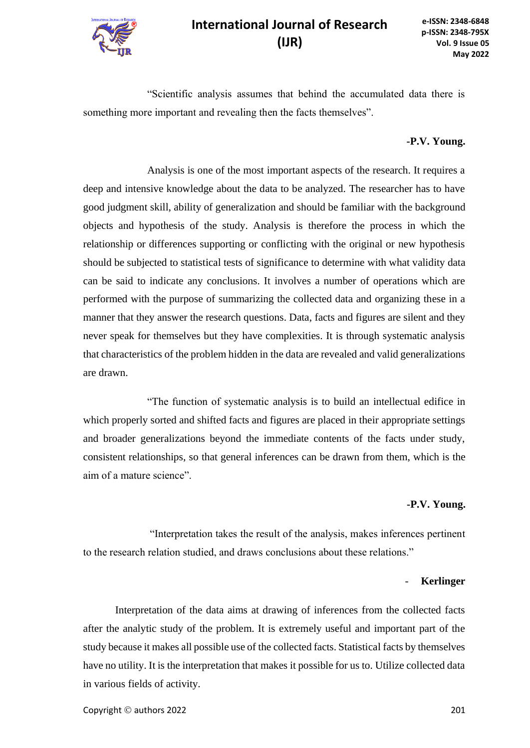

"Scientific analysis assumes that behind the accumulated data there is something more important and revealing then the facts themselves".

#### **-P.V. Young.**

Analysis is one of the most important aspects of the research. It requires a deep and intensive knowledge about the data to be analyzed. The researcher has to have good judgment skill, ability of generalization and should be familiar with the background objects and hypothesis of the study. Analysis is therefore the process in which the relationship or differences supporting or conflicting with the original or new hypothesis should be subjected to statistical tests of significance to determine with what validity data can be said to indicate any conclusions. It involves a number of operations which are performed with the purpose of summarizing the collected data and organizing these in a manner that they answer the research questions. Data, facts and figures are silent and they never speak for themselves but they have complexities. It is through systematic analysis that characteristics of the problem hidden in the data are revealed and valid generalizations are drawn.

"The function of systematic analysis is to build an intellectual edifice in which properly sorted and shifted facts and figures are placed in their appropriate settings and broader generalizations beyond the immediate contents of the facts under study, consistent relationships, so that general inferences can be drawn from them, which is the aim of a mature science".

#### **-P.V. Young.**

"Interpretation takes the result of the analysis, makes inferences pertinent to the research relation studied, and draws conclusions about these relations."

#### - **Kerlinger**

Interpretation of the data aims at drawing of inferences from the collected facts after the analytic study of the problem. It is extremely useful and important part of the study because it makes all possible use of the collected facts. Statistical facts by themselves have no utility. It is the interpretation that makes it possible for us to. Utilize collected data in various fields of activity.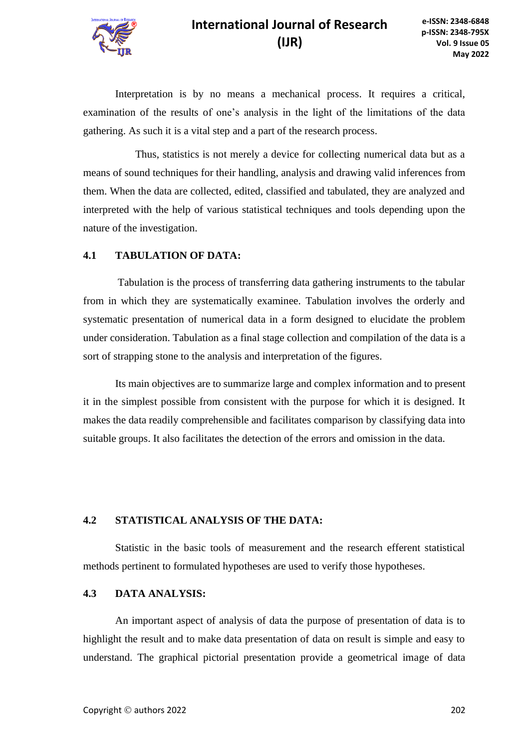Interpretation is by no means a mechanical process. It requires a critical, examination of the results of one's analysis in the light of the limitations of the data gathering. As such it is a vital step and a part of the research process.

Thus, statistics is not merely a device for collecting numerical data but as a means of sound techniques for their handling, analysis and drawing valid inferences from them. When the data are collected, edited, classified and tabulated, they are analyzed and interpreted with the help of various statistical techniques and tools depending upon the nature of the investigation.

#### **4.1 TABULATION OF DATA:**

Tabulation is the process of transferring data gathering instruments to the tabular from in which they are systematically examinee. Tabulation involves the orderly and systematic presentation of numerical data in a form designed to elucidate the problem under consideration. Tabulation as a final stage collection and compilation of the data is a sort of strapping stone to the analysis and interpretation of the figures.

Its main objectives are to summarize large and complex information and to present it in the simplest possible from consistent with the purpose for which it is designed. It makes the data readily comprehensible and facilitates comparison by classifying data into suitable groups. It also facilitates the detection of the errors and omission in the data.

#### **4.2 STATISTICAL ANALYSIS OF THE DATA:**

Statistic in the basic tools of measurement and the research efferent statistical methods pertinent to formulated hypotheses are used to verify those hypotheses.

### **4.3 DATA ANALYSIS:**

An important aspect of analysis of data the purpose of presentation of data is to highlight the result and to make data presentation of data on result is simple and easy to understand. The graphical pictorial presentation provide a geometrical image of data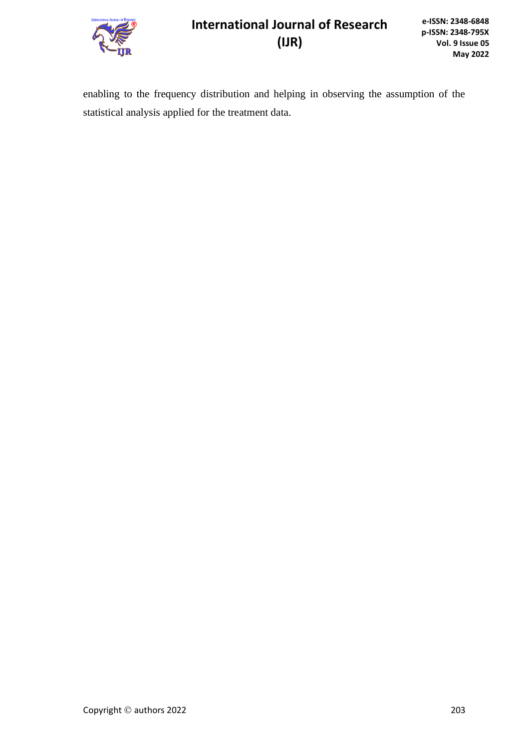

enabling to the frequency distribution and helping in observing the assumption of the statistical analysis applied for the treatment data.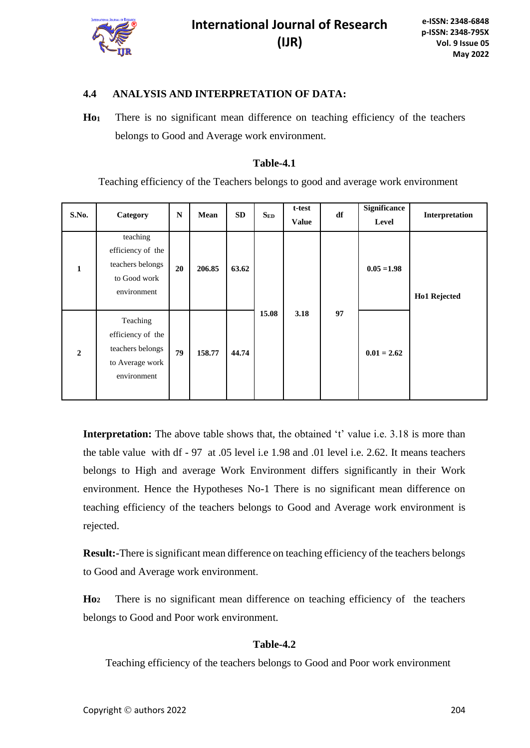

### **4.4 ANALYSIS AND INTERPRETATION OF DATA:**

**Ho<sup>1</sup>** There is no significant mean difference on teaching efficiency of the teachers belongs to Good and Average work environment.

#### **Table-4.1**

Teaching efficiency of the Teachers belongs to good and average work environment

| S.No.          | Category                                                                            | $\mathbf N$ | Mean   | <b>SD</b> | $S_{ED}$ | t-test<br><b>Value</b> | df | Significance<br>Level | Interpretation |
|----------------|-------------------------------------------------------------------------------------|-------------|--------|-----------|----------|------------------------|----|-----------------------|----------------|
| $\mathbf{1}$   | teaching<br>efficiency of the<br>teachers belongs<br>to Good work<br>environment    | 20          | 206.85 | 63.62     |          |                        |    | $0.05 = 1.98$         | Ho1 Rejected   |
| $\overline{2}$ | Teaching<br>efficiency of the<br>teachers belongs<br>to Average work<br>environment | 79          | 158.77 | 44.74     | 15.08    | 3.18                   | 97 | $0.01 = 2.62$         |                |

**Interpretation:** The above table shows that, the obtained 't' value i.e. 3.18 is more than the table value with df - 97 at .05 level i.e 1.98 and .01 level i.e. 2.62. It means teachers belongs to High and average Work Environment differs significantly in their Work environment. Hence the Hypotheses No-1 There is no significant mean difference on teaching efficiency of the teachers belongs to Good and Average work environment is rejected.

**Result:-**There is significant mean difference on teaching efficiency of the teachers belongs to Good and Average work environment.

**Ho<sup>2</sup>** There is no significant mean difference on teaching efficiency of the teachers belongs to Good and Poor work environment.

### **Table-4.2**

Teaching efficiency of the teachers belongs to Good and Poor work environment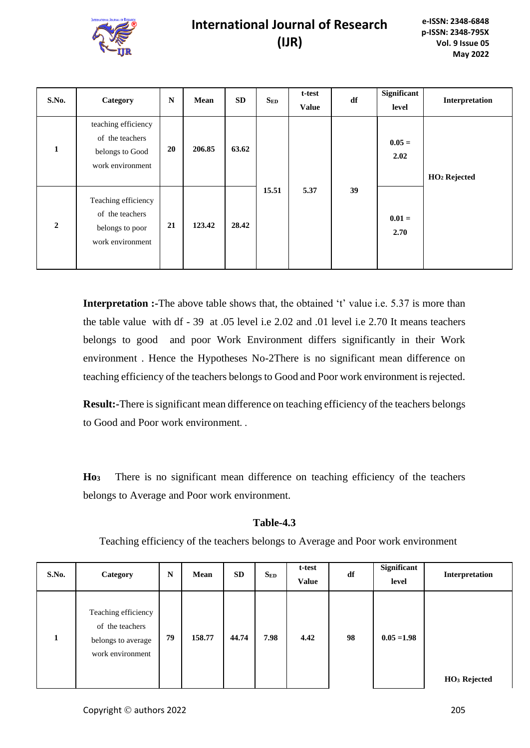

| S.No.          | Category                                                                      | $\mathbb N$ | Mean   | <b>SD</b> | $S_{ED}$ | t-test<br><b>Value</b> | df | <b>Significant</b><br>level | Interpretation           |
|----------------|-------------------------------------------------------------------------------|-------------|--------|-----------|----------|------------------------|----|-----------------------------|--------------------------|
| 1              | teaching efficiency<br>of the teachers<br>belongs to Good<br>work environment | 20          | 206.85 | 63.62     |          |                        |    | $0.05 =$<br>2.02            | HO <sub>2</sub> Rejected |
| $\overline{2}$ | Teaching efficiency<br>of the teachers<br>belongs to poor<br>work environment | 21          | 123.42 | 28.42     | 15.51    | 5.37                   | 39 | $0.01 =$<br>2.70            |                          |

**Interpretation :-**The above table shows that, the obtained 't' value i.e. 5.37 is more than the table value with df - 39 at .05 level i.e 2.02 and .01 level i.e 2.70 It means teachers belongs to good and poor Work Environment differs significantly in their Work environment . Hence the Hypotheses No-2There is no significant mean difference on teaching efficiency of the teachers belongs to Good and Poor work environment is rejected.

**Result:-**There is significant mean difference on teaching efficiency of the teachers belongs to Good and Poor work environment. .

**Ho<sup>3</sup>** There is no significant mean difference on teaching efficiency of the teachers belongs to Average and Poor work environment.

### **Table-4.3**

Teaching efficiency of the teachers belongs to Average and Poor work environment

| <b>S.No.</b> | Category                                                                         | N  | Mean   | SD    | $S_{ED}$ | t-test<br><b>Value</b> | df | Significant<br>level | Interpretation           |
|--------------|----------------------------------------------------------------------------------|----|--------|-------|----------|------------------------|----|----------------------|--------------------------|
| л.           | Teaching efficiency<br>of the teachers<br>belongs to average<br>work environment | 79 | 158.77 | 44.74 | 7.98     | 4.42                   | 98 | $0.05 = 1.98$        | HO <sub>3</sub> Rejected |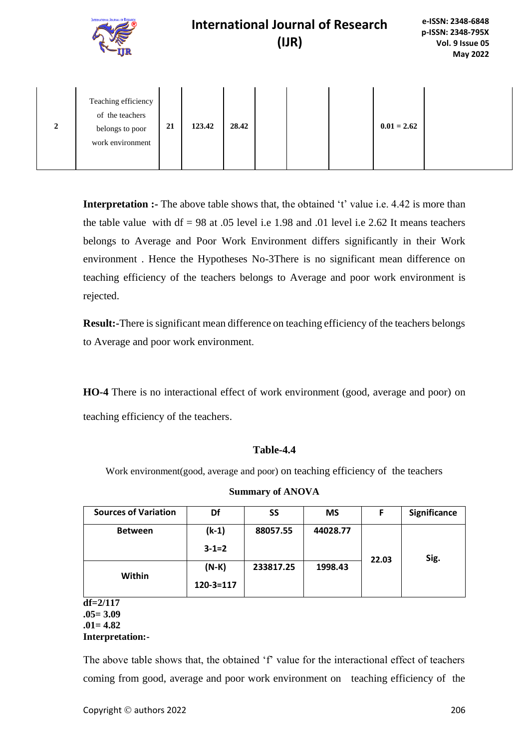|                  | <b>INTERNATIONAL JOURNAL OF RESEARCH</b>                                      |    | <b>International Journal of Research</b><br>(IB) |       |  |  |  |               | e-ISSN: 2348-6848<br>p-ISSN: 2348-795X<br>Vol. 9 Issue 05<br><b>May 2022</b> |  |
|------------------|-------------------------------------------------------------------------------|----|--------------------------------------------------|-------|--|--|--|---------------|------------------------------------------------------------------------------|--|
| $\boldsymbol{2}$ | Teaching efficiency<br>of the teachers<br>belongs to poor<br>work environment | 21 | 123.42                                           | 28.42 |  |  |  | $0.01 = 2.62$ |                                                                              |  |

**Interpretation :-** The above table shows that, the obtained 't' value i.e. 4.42 is more than the table value with  $df = 98$  at .05 level i.e 1.98 and .01 level i.e 2.62 It means teachers belongs to Average and Poor Work Environment differs significantly in their Work environment . Hence the Hypotheses No-3There is no significant mean difference on teaching efficiency of the teachers belongs to Average and poor work environment is rejected.

**Result:-**There is significant mean difference on teaching efficiency of the teachers belongs to Average and poor work environment.

**HO-4** There is no interactional effect of work environment (good, average and poor) on teaching efficiency of the teachers.

#### **Table-4.4**

Work environment(good, average and poor) on teaching efficiency of the teachers

| <b>Sources of Variation</b> | Df              | SS        | <b>MS</b> | F     | Significance |
|-----------------------------|-----------------|-----------|-----------|-------|--------------|
| <b>Between</b>              | $(k-1)$         | 88057.55  | 44028.77  |       |              |
|                             | $3 - 1 = 2$     |           |           | 22.03 | Sig.         |
| Within                      | $(N-K)$         | 233817.25 | 1998.43   |       |              |
|                             | $120 - 3 = 117$ |           |           |       |              |
| $df = 2/117$                |                 |           |           |       |              |

**Summary of ANOVA**

**df=2/117 .05= 3.09 .01= 4.82 Interpretation:-**

The above table shows that, the obtained 'f' value for the interactional effect of teachers coming from good, average and poor work environment on teaching efficiency of the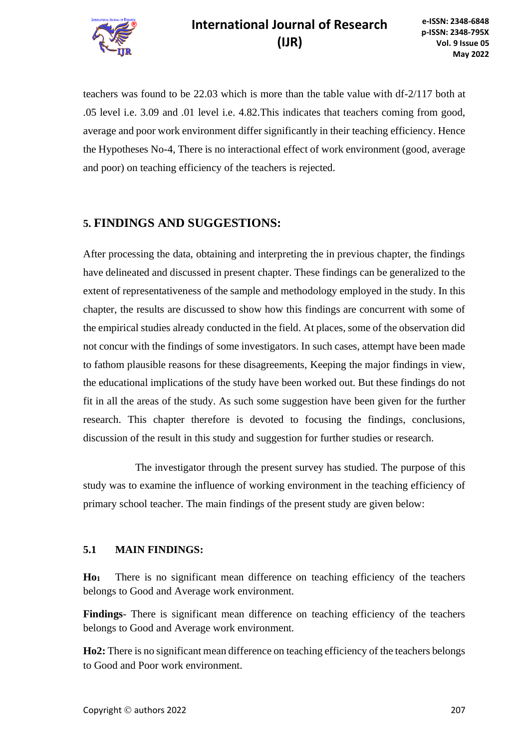

teachers was found to be 22.03 which is more than the table value with df-2/117 both at .05 level i.e. 3.09 and .01 level i.e. 4.82.This indicates that teachers coming from good, average and poor work environment differ significantly in their teaching efficiency. Hence the Hypotheses No-4, There is no interactional effect of work environment (good, average and poor) on teaching efficiency of the teachers is rejected.

### **5. FINDINGS AND SUGGESTIONS:**

After processing the data, obtaining and interpreting the in previous chapter, the findings have delineated and discussed in present chapter. These findings can be generalized to the extent of representativeness of the sample and methodology employed in the study. In this chapter, the results are discussed to show how this findings are concurrent with some of the empirical studies already conducted in the field. At places, some of the observation did not concur with the findings of some investigators. In such cases, attempt have been made to fathom plausible reasons for these disagreements, Keeping the major findings in view, the educational implications of the study have been worked out. But these findings do not fit in all the areas of the study. As such some suggestion have been given for the further research. This chapter therefore is devoted to focusing the findings, conclusions, discussion of the result in this study and suggestion for further studies or research.

The investigator through the present survey has studied. The purpose of this study was to examine the influence of working environment in the teaching efficiency of primary school teacher. The main findings of the present study are given below:

### **5.1 MAIN FINDINGS:**

**Ho<sup>1</sup>** There is no significant mean difference on teaching efficiency of the teachers belongs to Good and Average work environment.

**Findings**- There is significant mean difference on teaching efficiency of the teachers belongs to Good and Average work environment.

**Ho2:** There is no significant mean difference on teaching efficiency of the teachers belongs to Good and Poor work environment.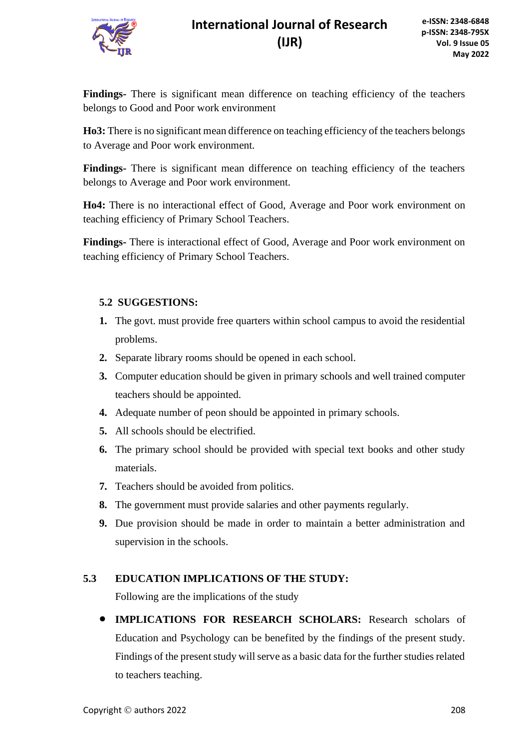

**Findings-** There is significant mean difference on teaching efficiency of the teachers belongs to Good and Poor work environment

**Ho3:** There is no significant mean difference on teaching efficiency of the teachers belongs to Average and Poor work environment.

**Findings-** There is significant mean difference on teaching efficiency of the teachers belongs to Average and Poor work environment.

**Ho4:** There is no interactional effect of Good, Average and Poor work environment on teaching efficiency of Primary School Teachers.

**Findings-** There is interactional effect of Good, Average and Poor work environment on teaching efficiency of Primary School Teachers.

### **5.2 SUGGESTIONS:**

- **1.** The govt. must provide free quarters within school campus to avoid the residential problems.
- **2.** Separate library rooms should be opened in each school.
- **3.** Computer education should be given in primary schools and well trained computer teachers should be appointed.
- **4.** Adequate number of peon should be appointed in primary schools.
- **5.** All schools should be electrified.
- **6.** The primary school should be provided with special text books and other study materials.
- **7.** Teachers should be avoided from politics.
- **8.** The government must provide salaries and other payments regularly.
- **9.** Due provision should be made in order to maintain a better administration and supervision in the schools.

### **5.3 EDUCATION IMPLICATIONS OF THE STUDY:**

Following are the implications of the study

• **IMPLICATIONS FOR RESEARCH SCHOLARS:** Research scholars of Education and Psychology can be benefited by the findings of the present study. Findings of the present study will serve as a basic data for the further studies related to teachers teaching.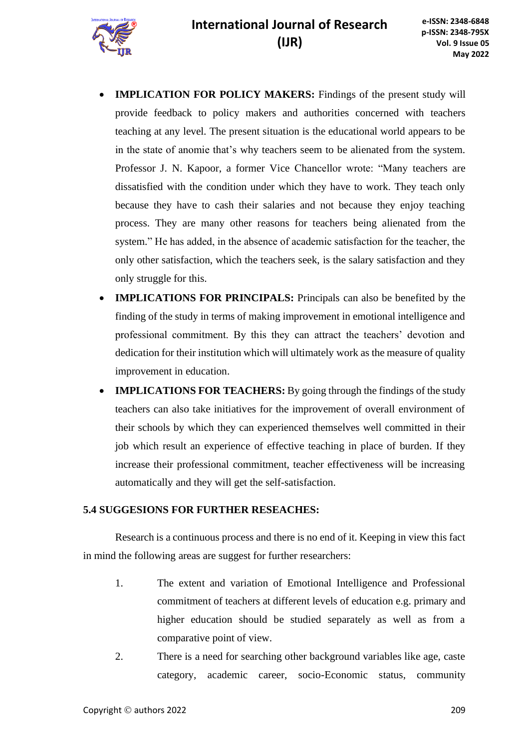

- **IMPLICATION FOR POLICY MAKERS:** Findings of the present study will provide feedback to policy makers and authorities concerned with teachers teaching at any level. The present situation is the educational world appears to be in the state of anomie that's why teachers seem to be alienated from the system. Professor J. N. Kapoor, a former Vice Chancellor wrote: "Many teachers are dissatisfied with the condition under which they have to work. They teach only because they have to cash their salaries and not because they enjoy teaching process. They are many other reasons for teachers being alienated from the system." He has added, in the absence of academic satisfaction for the teacher, the only other satisfaction, which the teachers seek, is the salary satisfaction and they only struggle for this.
- **IMPLICATIONS FOR PRINCIPALS:** Principals can also be benefited by the finding of the study in terms of making improvement in emotional intelligence and professional commitment. By this they can attract the teachers' devotion and dedication for their institution which will ultimately work as the measure of quality improvement in education.
- **IMPLICATIONS FOR TEACHERS:** By going through the findings of the study teachers can also take initiatives for the improvement of overall environment of their schools by which they can experienced themselves well committed in their job which result an experience of effective teaching in place of burden. If they increase their professional commitment, teacher effectiveness will be increasing automatically and they will get the self-satisfaction.

### **5.4 SUGGESIONS FOR FURTHER RESEACHES:**

Research is a continuous process and there is no end of it. Keeping in view this fact in mind the following areas are suggest for further researchers:

- 1. The extent and variation of Emotional Intelligence and Professional commitment of teachers at different levels of education e.g. primary and higher education should be studied separately as well as from a comparative point of view.
- 2. There is a need for searching other background variables like age, caste category, academic career, socio-Economic status, community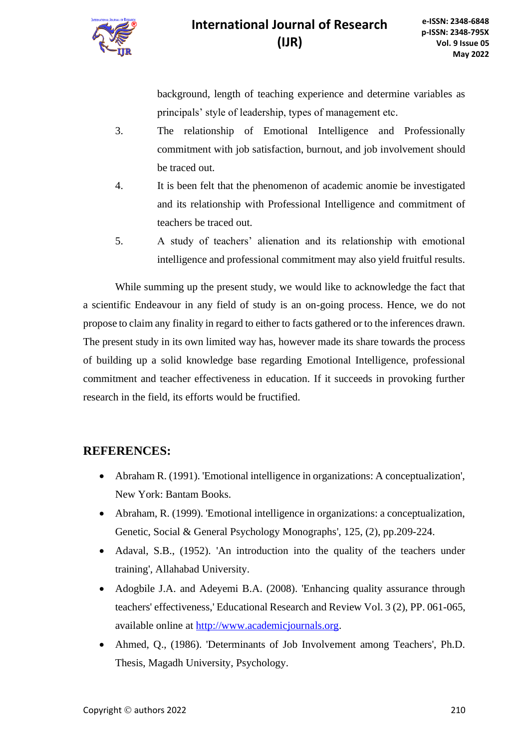

background, length of teaching experience and determine variables as principals' style of leadership, types of management etc.

- 3. The relationship of Emotional Intelligence and Professionally commitment with job satisfaction, burnout, and job involvement should be traced out.
- 4. It is been felt that the phenomenon of academic anomie be investigated and its relationship with Professional Intelligence and commitment of teachers be traced out.
- 5. A study of teachers' alienation and its relationship with emotional intelligence and professional commitment may also yield fruitful results.

While summing up the present study, we would like to acknowledge the fact that a scientific Endeavour in any field of study is an on-going process. Hence, we do not propose to claim any finality in regard to either to facts gathered or to the inferences drawn. The present study in its own limited way has, however made its share towards the process of building up a solid knowledge base regarding Emotional Intelligence, professional commitment and teacher effectiveness in education. If it succeeds in provoking further research in the field, its efforts would be fructified.

### **REFERENCES:**

- Abraham R. (1991). 'Emotional intelligence in organizations: A conceptualization', New York: Bantam Books.
- Abraham, R. (1999). 'Emotional intelligence in organizations: a conceptualization, Genetic, Social & General Psychology Monographs', 125, (2), pp.209-224.
- Adaval, S.B., (1952). 'An introduction into the quality of the teachers under training', Allahabad University.
- Adogbile J.A. and Adeyemi B.A. (2008). 'Enhancing quality assurance through teachers' effectiveness,' Educational Research and Review Vol. 3 (2), PP. 061-065, available online at [http://www.academicjournals.org.](http://www.academicjournals.org/)
- Ahmed, Q., (1986). 'Determinants of Job Involvement among Teachers', Ph.D. Thesis, Magadh University, Psychology.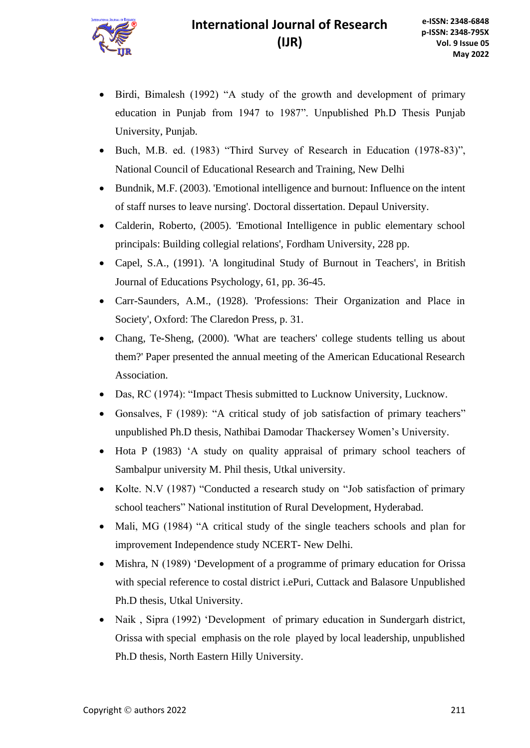- Birdi, Bimalesh (1992) "A study of the growth and development of primary education in Punjab from 1947 to 1987". Unpublished Ph.D Thesis Punjab University, Punjab.
- Buch, M.B. ed. (1983) "Third Survey of Research in Education (1978-83)", National Council of Educational Research and Training, New Delhi
- Bundnik, M.F. (2003). 'Emotional intelligence and burnout: Influence on the intent of staff nurses to leave nursing'. Doctoral dissertation. Depaul University.
- Calderin, Roberto, (2005). 'Emotional Intelligence in public elementary school principals: Building collegial relations', Fordham University, 228 pp.
- Capel, S.A., (1991). 'A longitudinal Study of Burnout in Teachers', in British Journal of Educations Psychology, 61, pp. 36-45.
- Carr-Saunders, A.M., (1928). 'Professions: Their Organization and Place in Society', Oxford: The Claredon Press, p. 31.
- Chang, Te-Sheng, (2000). 'What are teachers' college students telling us about them?' Paper presented the annual meeting of the American Educational Research Association.
- Das, RC (1974): "Impact Thesis submitted to Lucknow University, Lucknow.
- Gonsalves, F (1989): "A critical study of job satisfaction of primary teachers" unpublished Ph.D thesis, Nathibai Damodar Thackersey Women's University.
- Hota P (1983) 'A study on quality appraisal of primary school teachers of Sambalpur university M. Phil thesis, Utkal university.
- Kolte. N.V (1987) "Conducted a research study on "Job satisfaction of primary school teachers" National institution of Rural Development, Hyderabad.
- Mali, MG (1984) "A critical study of the single teachers schools and plan for improvement Independence study NCERT- New Delhi.
- Mishra, N (1989) 'Development of a programme of primary education for Orissa with special reference to costal district i.ePuri, Cuttack and Balasore Unpublished Ph.D thesis, Utkal University.
- Naik , Sipra (1992) 'Development of primary education in Sundergarh district, Orissa with special emphasis on the role played by local leadership, unpublished Ph.D thesis, North Eastern Hilly University.